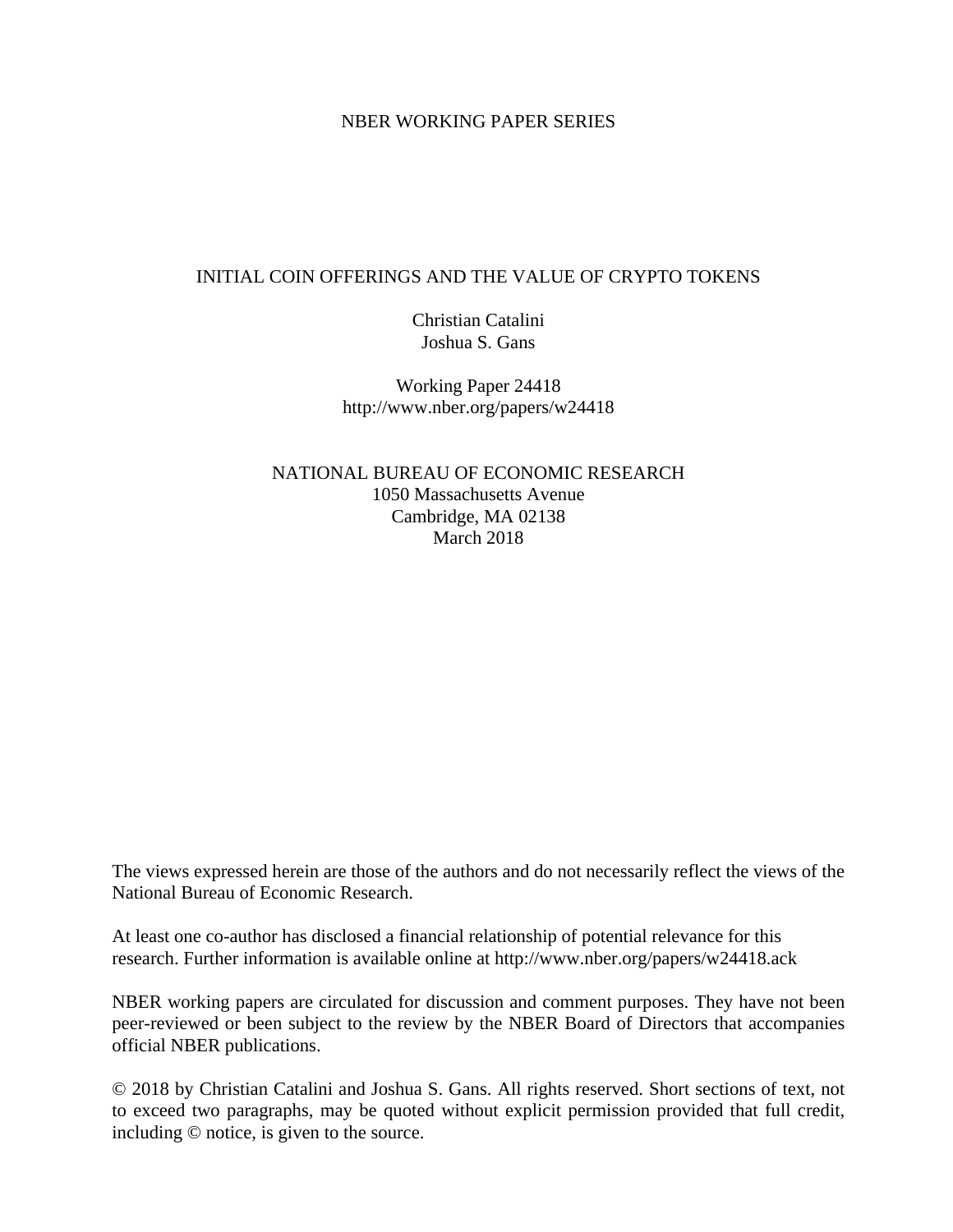#### NBER WORKING PAPER SERIES

#### INITIAL COIN OFFERINGS AND THE VALUE OF CRYPTO TOKENS

Christian Catalini Joshua S. Gans

Working Paper 24418 http://www.nber.org/papers/w24418

NATIONAL BUREAU OF ECONOMIC RESEARCH 1050 Massachusetts Avenue Cambridge, MA 02138 March 2018

The views expressed herein are those of the authors and do not necessarily reflect the views of the National Bureau of Economic Research.

At least one co-author has disclosed a financial relationship of potential relevance for this research. Further information is available online at http://www.nber.org/papers/w24418.ack

NBER working papers are circulated for discussion and comment purposes. They have not been peer-reviewed or been subject to the review by the NBER Board of Directors that accompanies official NBER publications.

© 2018 by Christian Catalini and Joshua S. Gans. All rights reserved. Short sections of text, not to exceed two paragraphs, may be quoted without explicit permission provided that full credit, including © notice, is given to the source.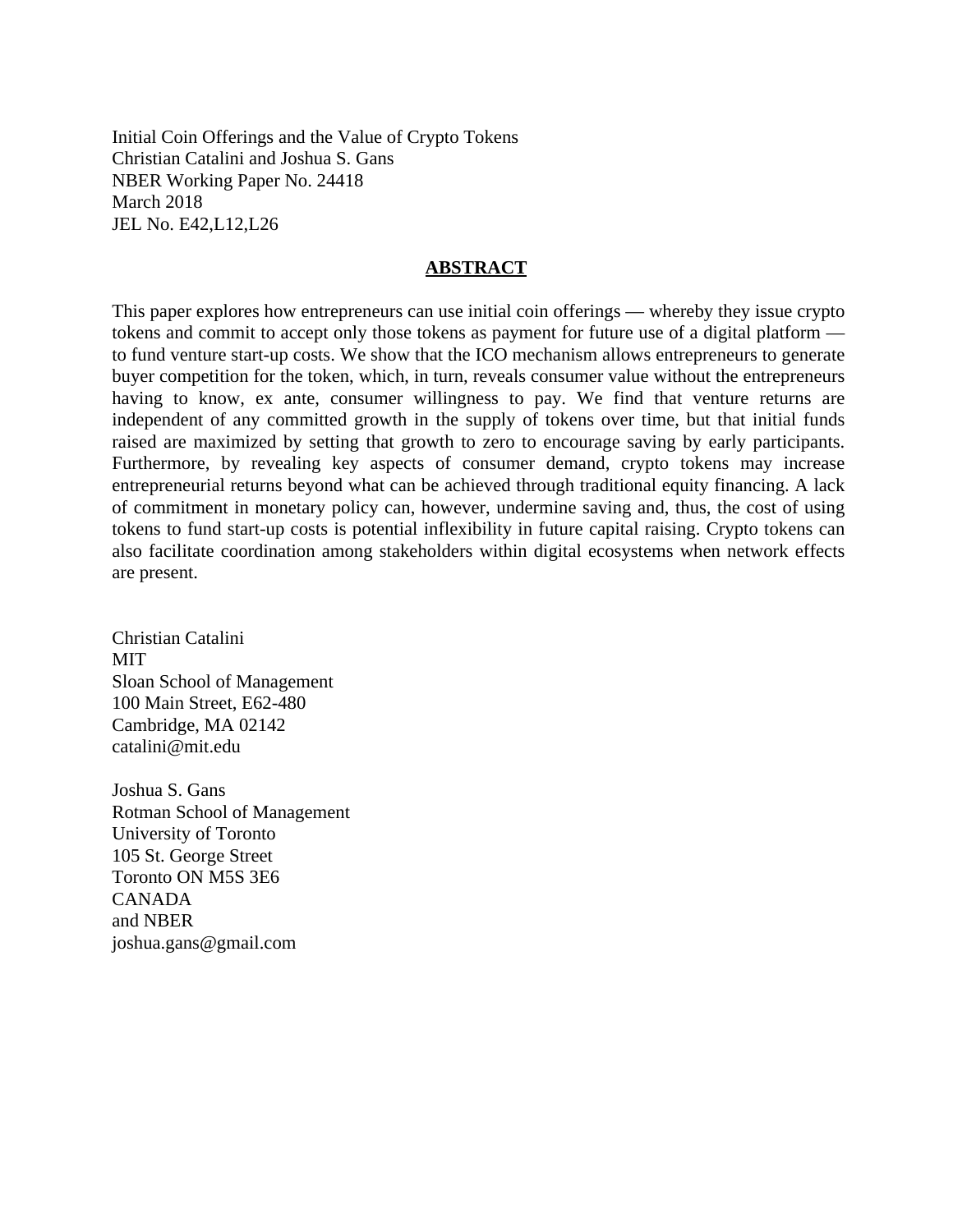Initial Coin Offerings and the Value of Crypto Tokens Christian Catalini and Joshua S. Gans NBER Working Paper No. 24418 March 2018 JEL No. E42,L12,L26

#### **ABSTRACT**

This paper explores how entrepreneurs can use initial coin offerings — whereby they issue crypto tokens and commit to accept only those tokens as payment for future use of a digital platform to fund venture start-up costs. We show that the ICO mechanism allows entrepreneurs to generate buyer competition for the token, which, in turn, reveals consumer value without the entrepreneurs having to know, ex ante, consumer willingness to pay. We find that venture returns are independent of any committed growth in the supply of tokens over time, but that initial funds raised are maximized by setting that growth to zero to encourage saving by early participants. Furthermore, by revealing key aspects of consumer demand, crypto tokens may increase entrepreneurial returns beyond what can be achieved through traditional equity financing. A lack of commitment in monetary policy can, however, undermine saving and, thus, the cost of using tokens to fund start-up costs is potential inflexibility in future capital raising. Crypto tokens can also facilitate coordination among stakeholders within digital ecosystems when network effects are present.

Christian Catalini MIT Sloan School of Management 100 Main Street, E62-480 Cambridge, MA 02142 catalini@mit.edu

Joshua S. Gans Rotman School of Management University of Toronto 105 St. George Street Toronto ON M5S 3E6 CANADA and NBER joshua.gans@gmail.com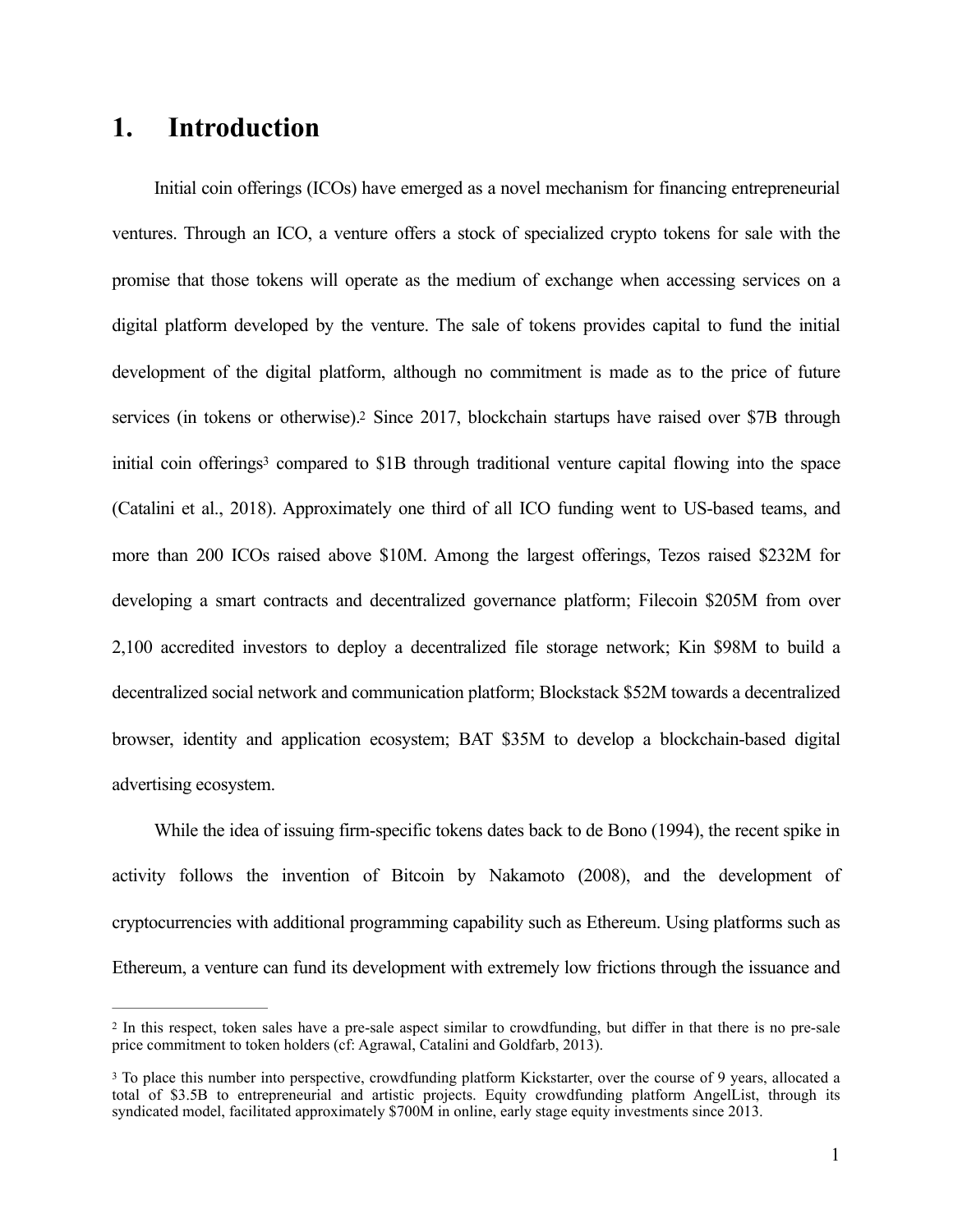# **1. Introduction**

<span id="page-2-3"></span><span id="page-2-2"></span>Initial coin offerings (ICOs) have emerged as a novel mechanism for financing entrepreneurial ventures. Through an ICO, a venture offers a stock of specialized crypto tokens for sale with the promise that those tokens will operate as the medium of exchange when accessing services on a digital platform developed by the venture. The sale of tokens provides capital to fund the initial development of the digital platform, although no commitment is made as to the price of future services (in tokens or otherwise).<sup>[2](#page-2-0)</sup> Since 2017, blockchain startups have raised over \$7B through initial coin offerings<sup>[3](#page-2-1)</sup> compared to \$1B through traditional venture capital flowing into the space (Catalini et al., 2018). Approximately one third of all ICO funding went to US-based teams, and more than 200 ICOs raised above \$10M. Among the largest offerings, Tezos raised \$232M for developing a smart contracts and decentralized governance platform; Filecoin \$205M from over 2,100 accredited investors to deploy a decentralized file storage network; Kin \$98M to build a decentralized social network and communication platform; Blockstack \$52M towards a decentralized browser, identity and application ecosystem; BAT \$35M to develop a blockchain-based digital advertising ecosystem.

While the idea of issuing firm-specific tokens dates back to de Bono (1994), the recent spike in activity follows the invention of Bitcoin by Nakamoto (2008), and the development of cryptocurrencies with additional programming capability such as Ethereum. Using platforms such as Ethereum, a venture can fund its development with extremely low frictions through the issuance and

<span id="page-2-0"></span><sup>&</sup>lt;sup>[2](#page-2-2)</sup> In this respect, token sales have a pre-sale aspect similar to crowdfunding, but differ in that there is no pre-sale price commitment to token holders (cf: Agrawal, Catalini and Goldfarb, 2013).

<span id="page-2-1"></span><sup>&</sup>lt;sup>[3](#page-2-3)</sup> To place this number into perspective, crowdfunding platform Kickstarter, over the course of 9 years, allocated a total of \$3.5B to entrepreneurial and artistic projects. Equity crowdfunding platform AngelList, through its syndicated model, facilitated approximately \$700M in online, early stage equity investments since 2013.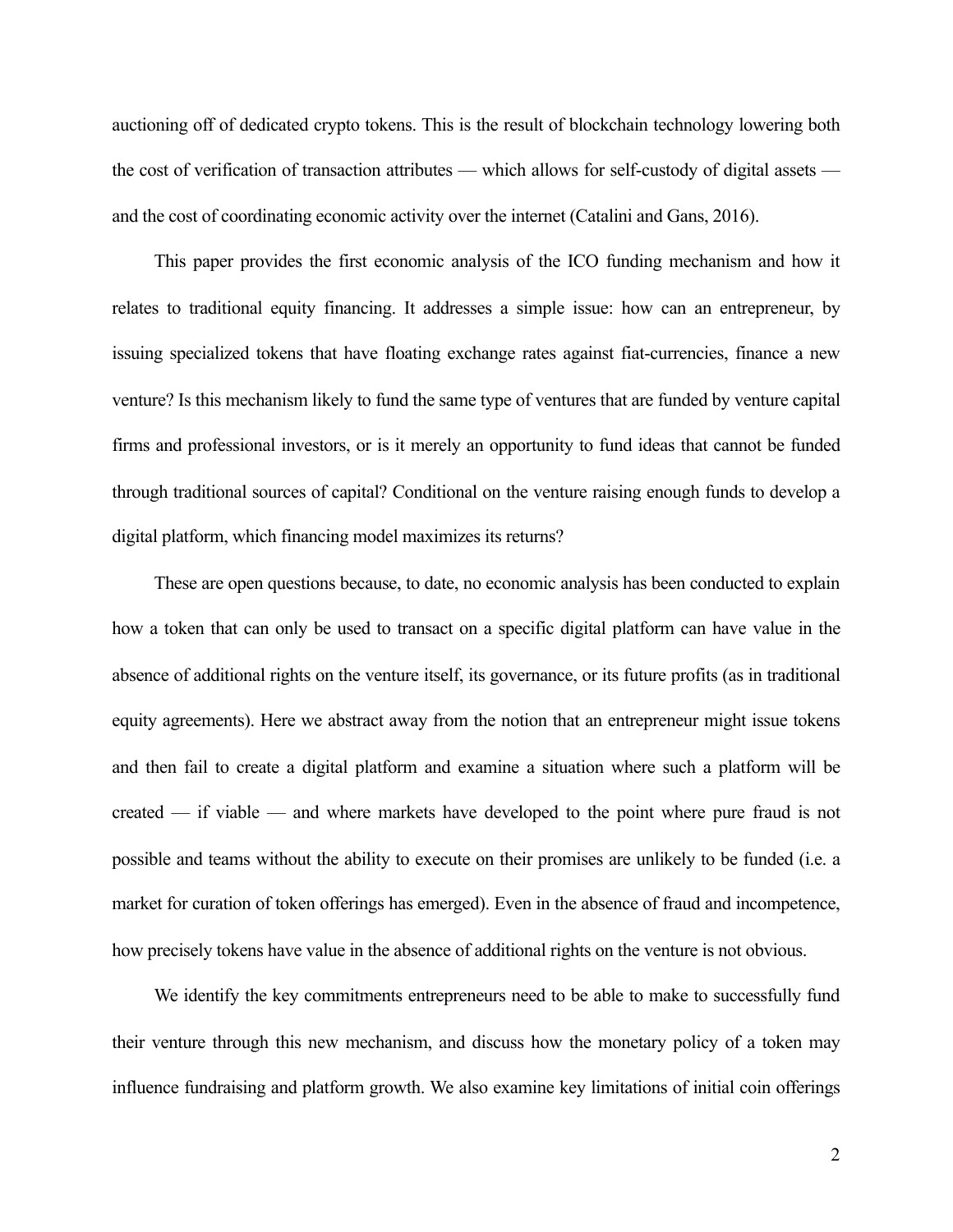auctioning off of dedicated crypto tokens. This is the result of blockchain technology lowering both the cost of verification of transaction attributes — which allows for self-custody of digital assets and the cost of coordinating economic activity over the internet (Catalini and Gans, 2016).

This paper provides the first economic analysis of the ICO funding mechanism and how it relates to traditional equity financing. It addresses a simple issue: how can an entrepreneur, by issuing specialized tokens that have floating exchange rates against fiat-currencies, finance a new venture? Is this mechanism likely to fund the same type of ventures that are funded by venture capital firms and professional investors, or is it merely an opportunity to fund ideas that cannot be funded through traditional sources of capital? Conditional on the venture raising enough funds to develop a digital platform, which financing model maximizes its returns?

These are open questions because, to date, no economic analysis has been conducted to explain how a token that can only be used to transact on a specific digital platform can have value in the absence of additional rights on the venture itself, its governance, or its future profits (as in traditional equity agreements). Here we abstract away from the notion that an entrepreneur might issue tokens and then fail to create a digital platform and examine a situation where such a platform will be created — if viable — and where markets have developed to the point where pure fraud is not possible and teams without the ability to execute on their promises are unlikely to be funded (i.e. a market for curation of token offerings has emerged). Even in the absence of fraud and incompetence, how precisely tokens have value in the absence of additional rights on the venture is not obvious.

We identify the key commitments entrepreneurs need to be able to make to successfully fund their venture through this new mechanism, and discuss how the monetary policy of a token may influence fundraising and platform growth. We also examine key limitations of initial coin offerings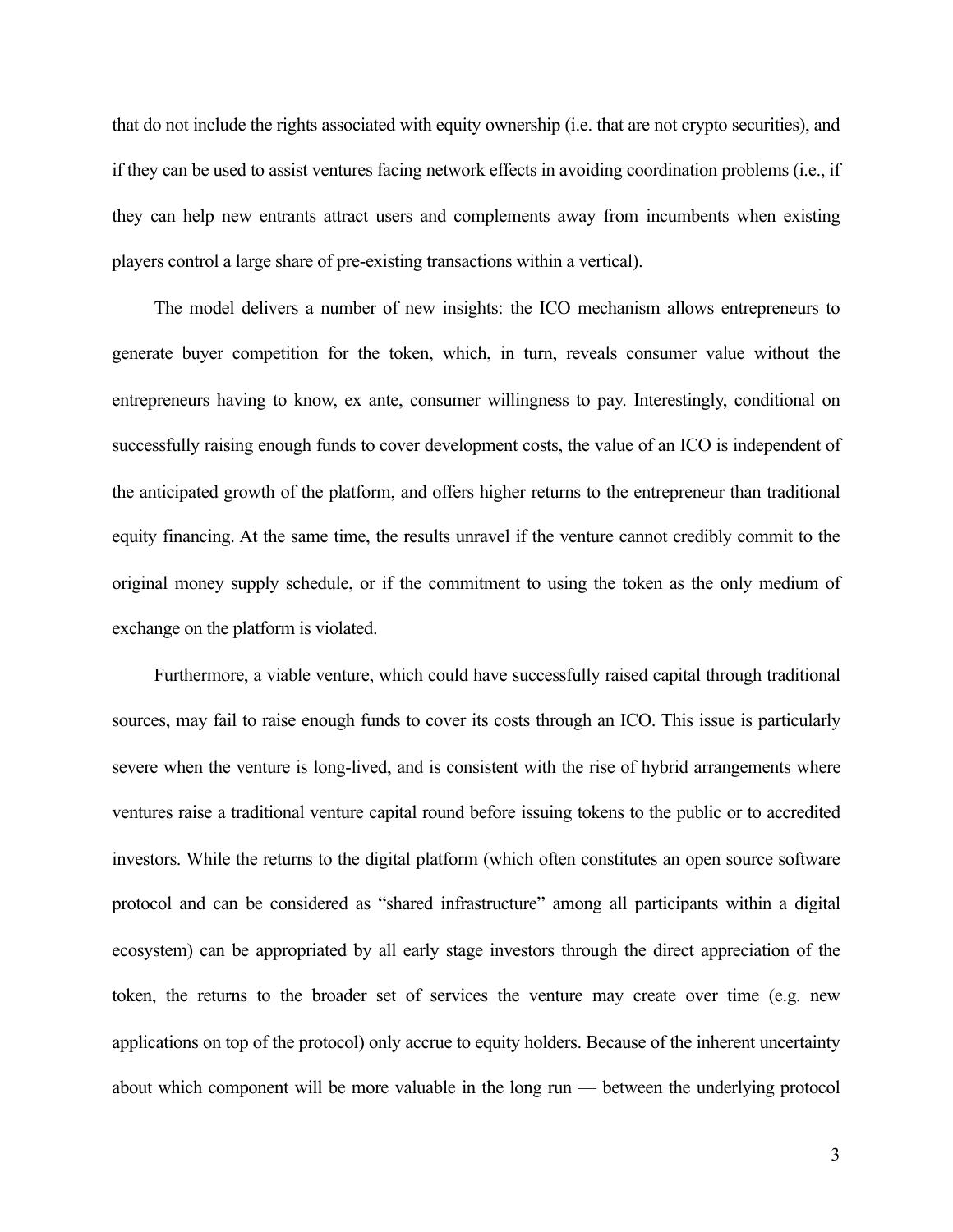that do not include the rights associated with equity ownership (i.e. that are not crypto securities), and if they can be used to assist ventures facing network effects in avoiding coordination problems (i.e., if they can help new entrants attract users and complements away from incumbents when existing players control a large share of pre-existing transactions within a vertical).

The model delivers a number of new insights: the ICO mechanism allows entrepreneurs to generate buyer competition for the token, which, in turn, reveals consumer value without the entrepreneurs having to know, ex ante, consumer willingness to pay. Interestingly, conditional on successfully raising enough funds to cover development costs, the value of an ICO is independent of the anticipated growth of the platform, and offers higher returns to the entrepreneur than traditional equity financing. At the same time, the results unravel if the venture cannot credibly commit to the original money supply schedule, or if the commitment to using the token as the only medium of exchange on the platform is violated.

Furthermore, a viable venture, which could have successfully raised capital through traditional sources, may fail to raise enough funds to cover its costs through an ICO. This issue is particularly severe when the venture is long-lived, and is consistent with the rise of hybrid arrangements where ventures raise a traditional venture capital round before issuing tokens to the public or to accredited investors. While the returns to the digital platform (which often constitutes an open source software protocol and can be considered as "shared infrastructure" among all participants within a digital ecosystem) can be appropriated by all early stage investors through the direct appreciation of the token, the returns to the broader set of services the venture may create over time (e.g. new applications on top of the protocol) only accrue to equity holders. Because of the inherent uncertainty about which component will be more valuable in the long run — between the underlying protocol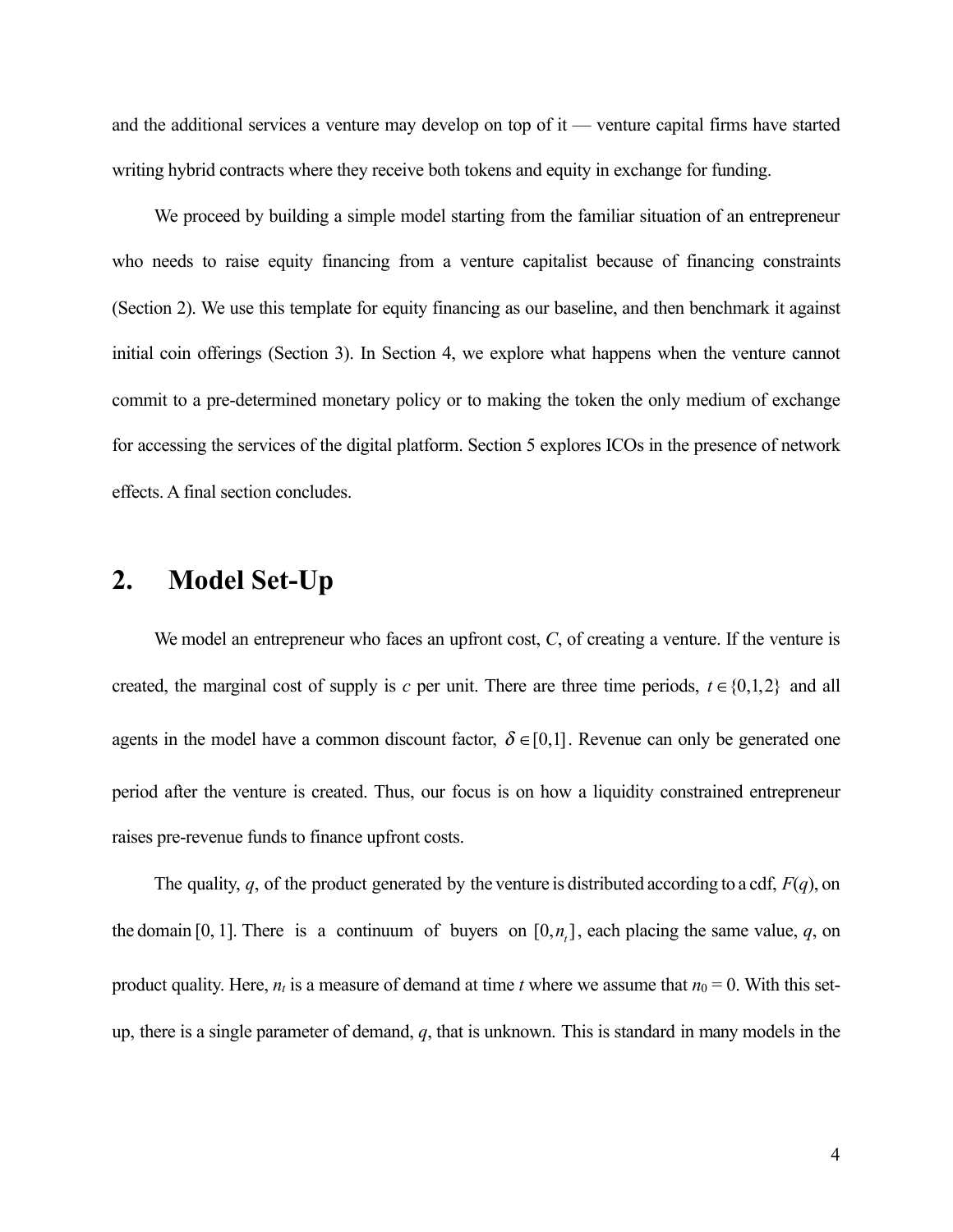and the additional services a venture may develop on top of it — venture capital firms have started writing hybrid contracts where they receive both tokens and equity in exchange for funding.

We proceed by building a simple model starting from the familiar situation of an entrepreneur who needs to raise equity financing from a venture capitalist because of financing constraints (Section 2). We use this template for equity financing as our baseline, and then benchmark it against initial coin offerings (Section 3). In Section 4, we explore what happens when the venture cannot commit to a pre-determined monetary policy or to making the token the only medium of exchange for accessing the services of the digital platform. Section 5 explores ICOs in the presence of network effects. A final section concludes.

### **2. Model Set-Up**

We model an entrepreneur who faces an upfront cost, *C*, of creating a venture. If the venture is created, the marginal cost of supply is *c* per unit. There are three time periods,  $t \in \{0,1,2\}$  and all agents in the model have a common discount factor,  $\delta \in [0,1]$ . Revenue can only be generated one period after the venture is created. Thus, our focus is on how a liquidity constrained entrepreneur raises pre-revenue funds to finance upfront costs.

The quality, *q*, of the product generated by the venture is distributed according to a cdf, *F*(*q*), on the domain [0, 1]. There is a continuum of buyers on  $[0, n_t]$ , each placing the same value, *q*, on product quality. Here,  $n_t$  is a measure of demand at time *t* where we assume that  $n_0 = 0$ . With this setup, there is a single parameter of demand, *q*, that is unknown. This is standard in many models in the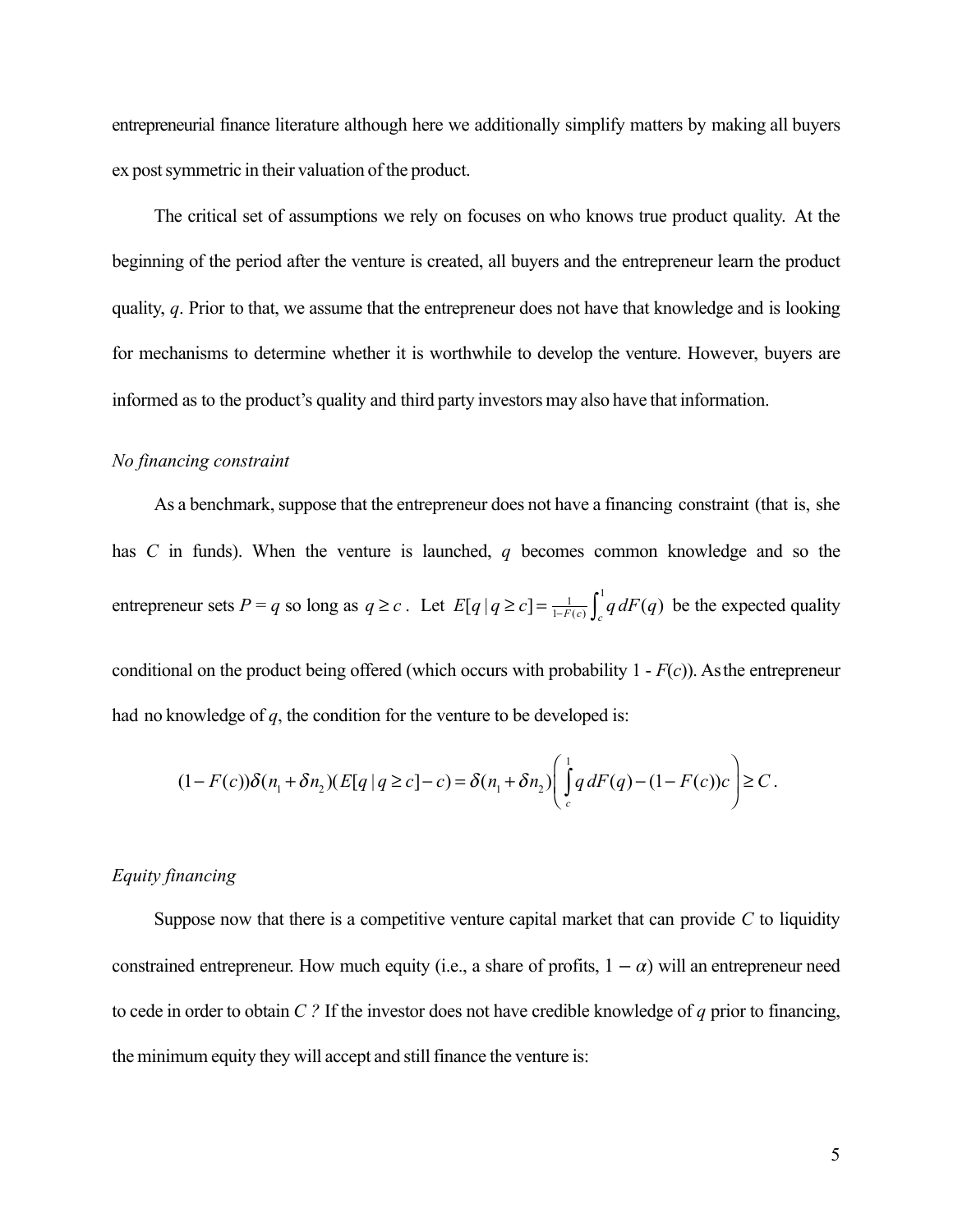entrepreneurial finance literature although here we additionally simplify matters by making all buyers ex post symmetric in their valuation of the product.

The critical set of assumptions we rely on focuses on who knows true product quality. At the beginning of the period after the venture is created, all buyers and the entrepreneur learn the product quality, *q*. Prior to that, we assume that the entrepreneur does not have that knowledge and is looking for mechanisms to determine whether it is worthwhile to develop the venture. However, buyers are informed as to the product's quality and third party investors may also have that information.

#### *No financing constraint*

As a benchmark, suppose that the entrepreneur does not have a financing constraint (that is, she has *C* in funds). When the venture is launched, *q* becomes common knowledge and so the entrepreneur sets  $P = q$  so long as  $q \ge c$ . Let  $E[q | q \ge c] = \frac{1}{1-F(c)} \int_{c}^{1} q dF(q)$  be the expected quality

conditional on the product being offered (which occurs with probability 1 - *F*(*c*)). Asthe entrepreneur had no knowledge of *q*, the condition for the venture to be developed is:

$$
(1-F(c))\delta(n_1+\delta n_2)(E[q|q\ge c]-c)=\delta(n_1+\delta n_2)\left(\int\limits_c^1q\,dF(q)-(1-F(c))c\right)\ge C.
$$

#### *Equity financing*

Suppose now that there is a competitive venture capital market that can provide  $C$  to liquidity constrained entrepreneur. How much equity (i.e., a share of profits,  $1 - \alpha$ ) will an entrepreneur need to cede in order to obtain *C ?* If the investor does not have credible knowledge of *q* prior to financing, the minimum equity they will accept and still finance the venture is: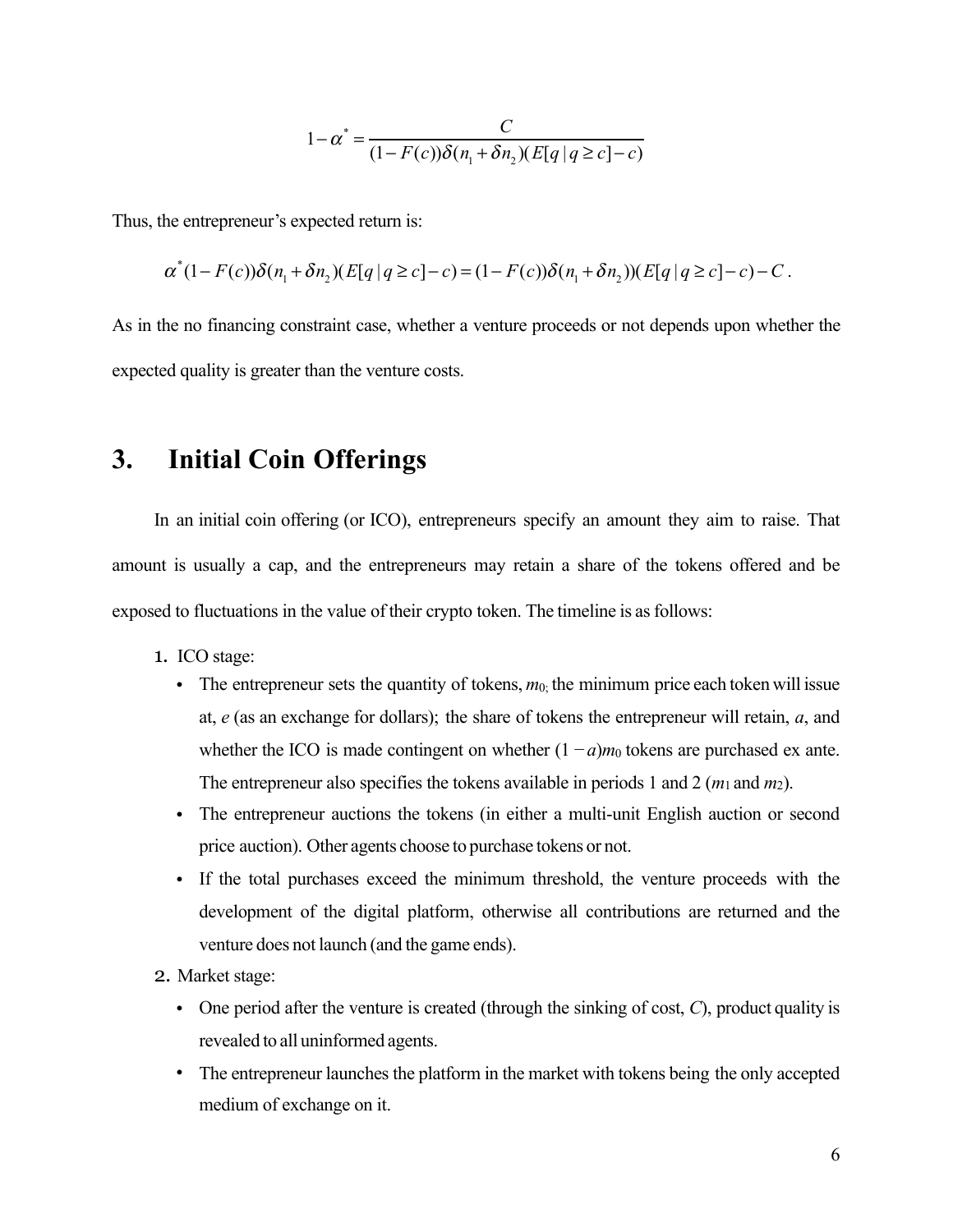$$
1 - \alpha^* = \frac{C}{(1 - F(c))\delta(n_1 + \delta n_2)(E[q | q \ge c] - c)}
$$

Thus, the entrepreneur's expected return is:

$$
\alpha^*(1 - F(c))\delta(n_1 + \delta n_2)(E[q | q \ge c] - c) = (1 - F(c))\delta(n_1 + \delta n_2)(E[q | q \ge c] - c) - C.
$$

As in the no financing constraint case, whether a venture proceeds or not depends upon whether the expected quality is greater than the venture costs.

# **3. Initial Coin Offerings**

In an initial coin offering (or ICO), entrepreneurs specify an amount they aim to raise. That amount is usually a cap, and the entrepreneurs may retain a share of the tokens offered and be exposed to fluctuations in the value of their crypto token. The timeline is as follows:

- 1. ICO stage:
	- The entrepreneur sets the quantity of tokens,  $m_0$ ; the minimum price each token will issue at, *e* (as an exchange for dollars); the share of tokens the entrepreneur will retain, *a*, and whether the ICO is made contingent on whether  $(1 - a)m_0$  tokens are purchased ex ante. The entrepreneur also specifies the tokens available in periods 1 and 2 ( $m_1$  and  $m_2$ ).
	- The entrepreneur auctions the tokens (in either a multi-unit English auction or second price auction). Other agents choose to purchase tokens or not.
	- If the total purchases exceed the minimum threshold, the venture proceeds with the development of the digital platform, otherwise all contributions are returned and the venture does not launch (and the game ends).
- 2. Market stage:
	- One period after the venture is created (through the sinking of cost, *C*), product quality is revealed to all uninformed agents.
	- The entrepreneur launches the platform in the market with tokens being the only accepted medium of exchange on it.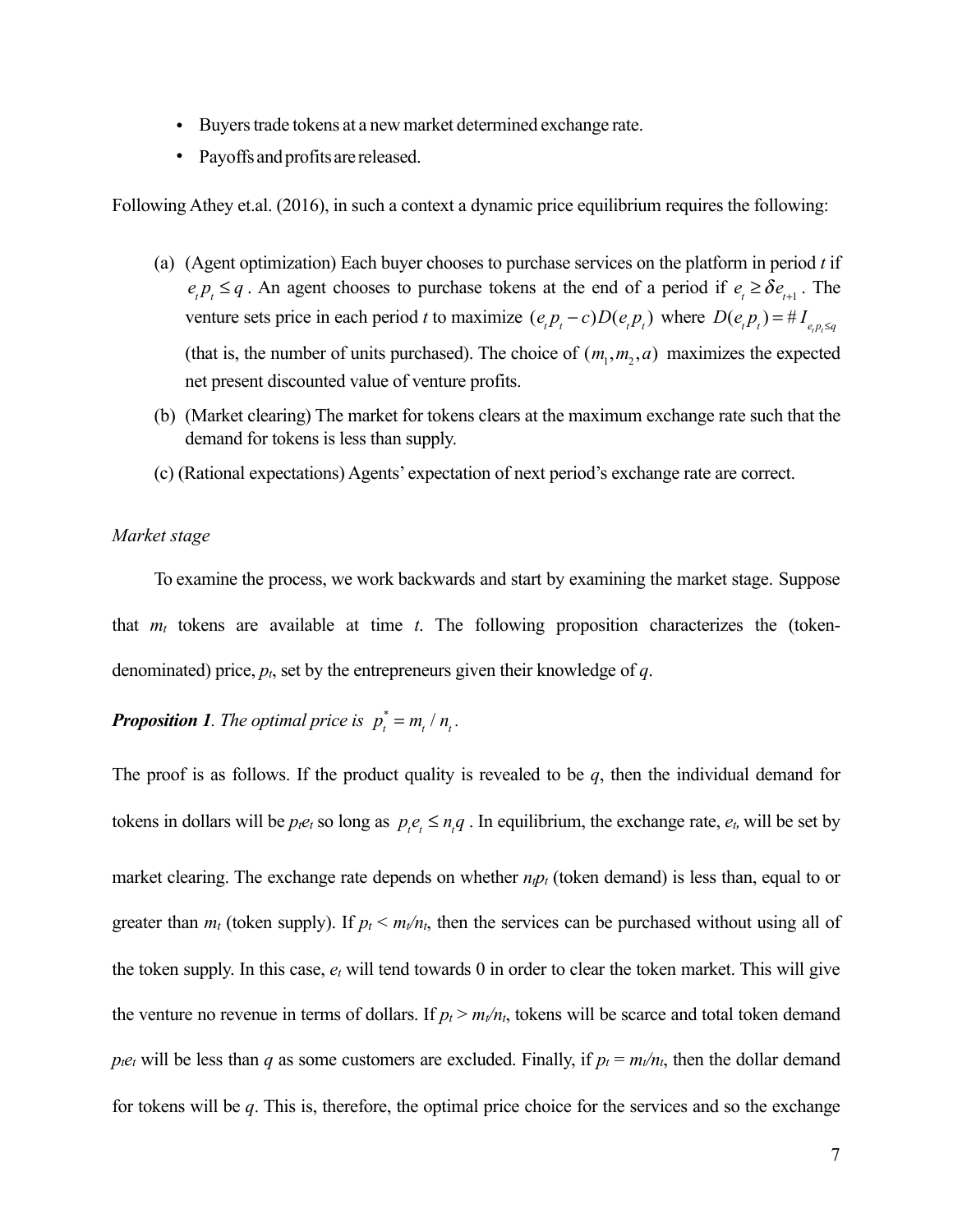- Buyers trade tokens at a new market determined exchange rate.
- Payoffs and profits are released.

Following Athey et.al. (2016), in such a context a dynamic price equilibrium requires the following:

- (a) (Agent optimization) Each buyer chooses to purchase services on the platform in period *t* if  $e_i p_t \leq q$ . An agent chooses to purchase tokens at the end of a period if  $e_t \geq \delta e_{t+1}$ . The venture sets price in each period *t* to maximize  $(e_t p_t - c)D(e_t p_t)$  where  $D(e_t p_t) = \#I_{e_t p_t \leq q}$ (that is, the number of units purchased). The choice of  $(m_1, m_2, a)$  maximizes the expected net present discounted value of venture profits.
- (b) (Market clearing) The market for tokens clears at the maximum exchange rate such that the demand for tokens is less than supply.
- (c) (Rational expectations) Agents' expectation of next period's exchange rate are correct.

#### *Market stage*

To examine the process, we work backwards and start by examining the market stage. Suppose that  $m_t$  tokens are available at time *t*. The following proposition characterizes the (tokendenominated) price, *pt*, set by the entrepreneurs given their knowledge of *q*.

### **Proposition 1.** The optimal price is  $p_t^* = m_t / n_t$ .

The proof is as follows. If the product quality is revealed to be *q*, then the individual demand for tokens in dollars will be  $p_i e_t$  so long as  $p_i e_t \leq n_i q$ . In equilibrium, the exchange rate,  $e_t$ , will be set by

market clearing. The exchange rate depends on whether  $n_i p_i$  (token demand) is less than, equal to or greater than  $m_t$  (token supply). If  $p_t < m_t/n_t$ , then the services can be purchased without using all of the token supply. In this case, *et* will tend towards 0 in order to clear the token market. This will give the venture no revenue in terms of dollars. If  $p_t > m_t/n_t$ , tokens will be scarce and total token demand *p<sub>tet</sub>* will be less than *q* as some customers are excluded. Finally, if  $p_t = m_t/n_t$ , then the dollar demand for tokens will be *q*. This is, therefore, the optimal price choice for the services and so the exchange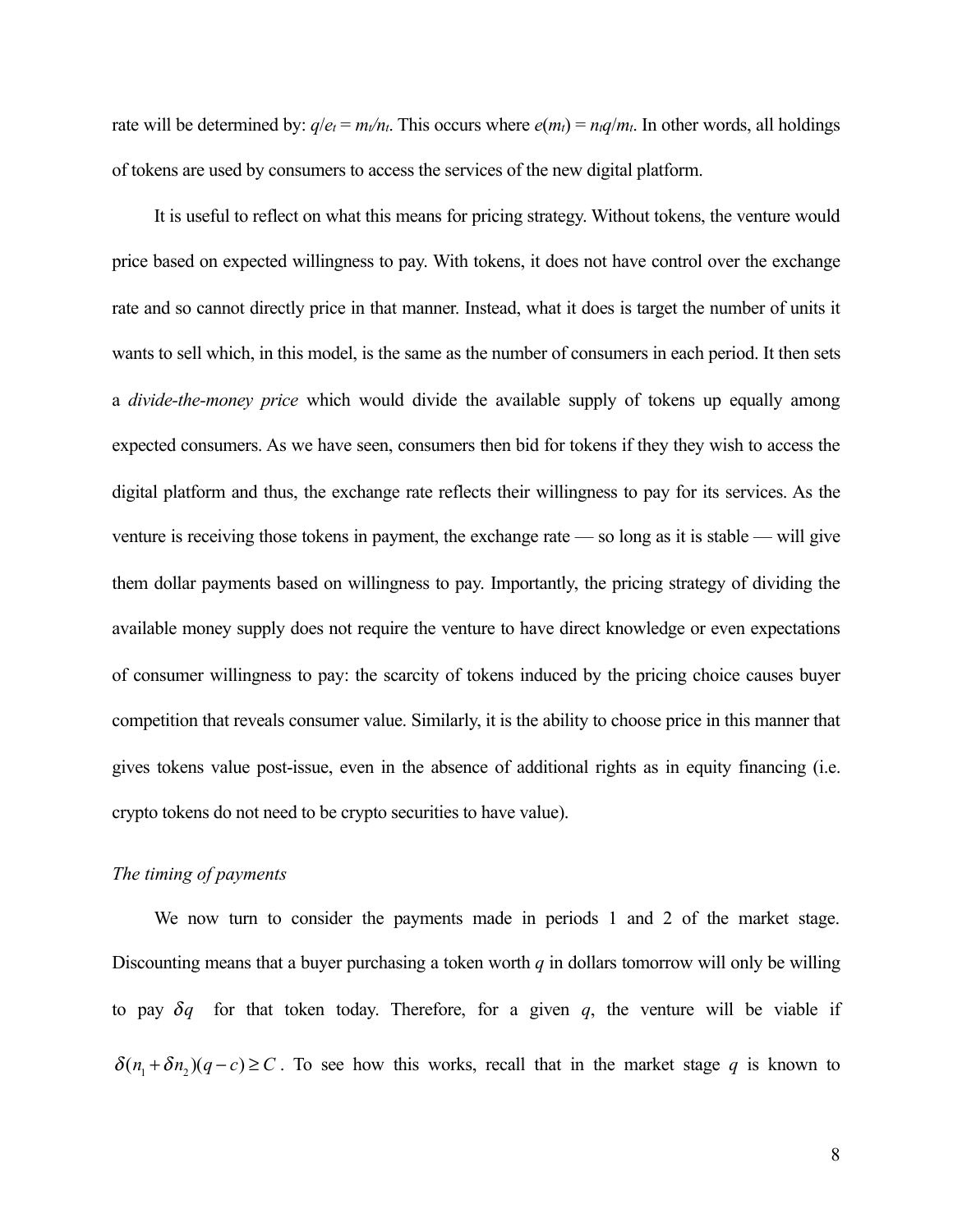rate will be determined by:  $q/e_t = m_t/n_t$ . This occurs where  $e(m_t) = n_t q/m_t$ . In other words, all holdings of tokens are used by consumers to access the services of the new digital platform.

It is useful to reflect on what this means for pricing strategy. Without tokens, the venture would price based on expected willingness to pay. With tokens, it does not have control over the exchange rate and so cannot directly price in that manner. Instead, what it does is target the number of units it wants to sell which, in this model, is the same as the number of consumers in each period. It then sets a *divide-the-money price* which would divide the available supply of tokens up equally among expected consumers. As we have seen, consumers then bid for tokens if they they wish to access the digital platform and thus, the exchange rate reflects their willingness to pay for its services. As the venture is receiving those tokens in payment, the exchange rate — so long as it is stable — will give them dollar payments based on willingness to pay. Importantly, the pricing strategy of dividing the available money supply does not require the venture to have direct knowledge or even expectations of consumer willingness to pay: the scarcity of tokens induced by the pricing choice causes buyer competition that reveals consumer value. Similarly, it is the ability to choose price in this manner that gives tokens value post-issue, even in the absence of additional rights as in equity financing (i.e. crypto tokens do not need to be crypto securities to have value).

#### *The timing of payments*

We now turn to consider the payments made in periods 1 and 2 of the market stage. Discounting means that a buyer purchasing a token worth *q* in dollars tomorrow will only be willing to pay  $\delta q$  for that token today. Therefore, for a given  $q$ , the venture will be viable if  $\delta(n_1 + \delta n_2)(q - c) \ge C$ . To see how this works, recall that in the market stage *q* is known to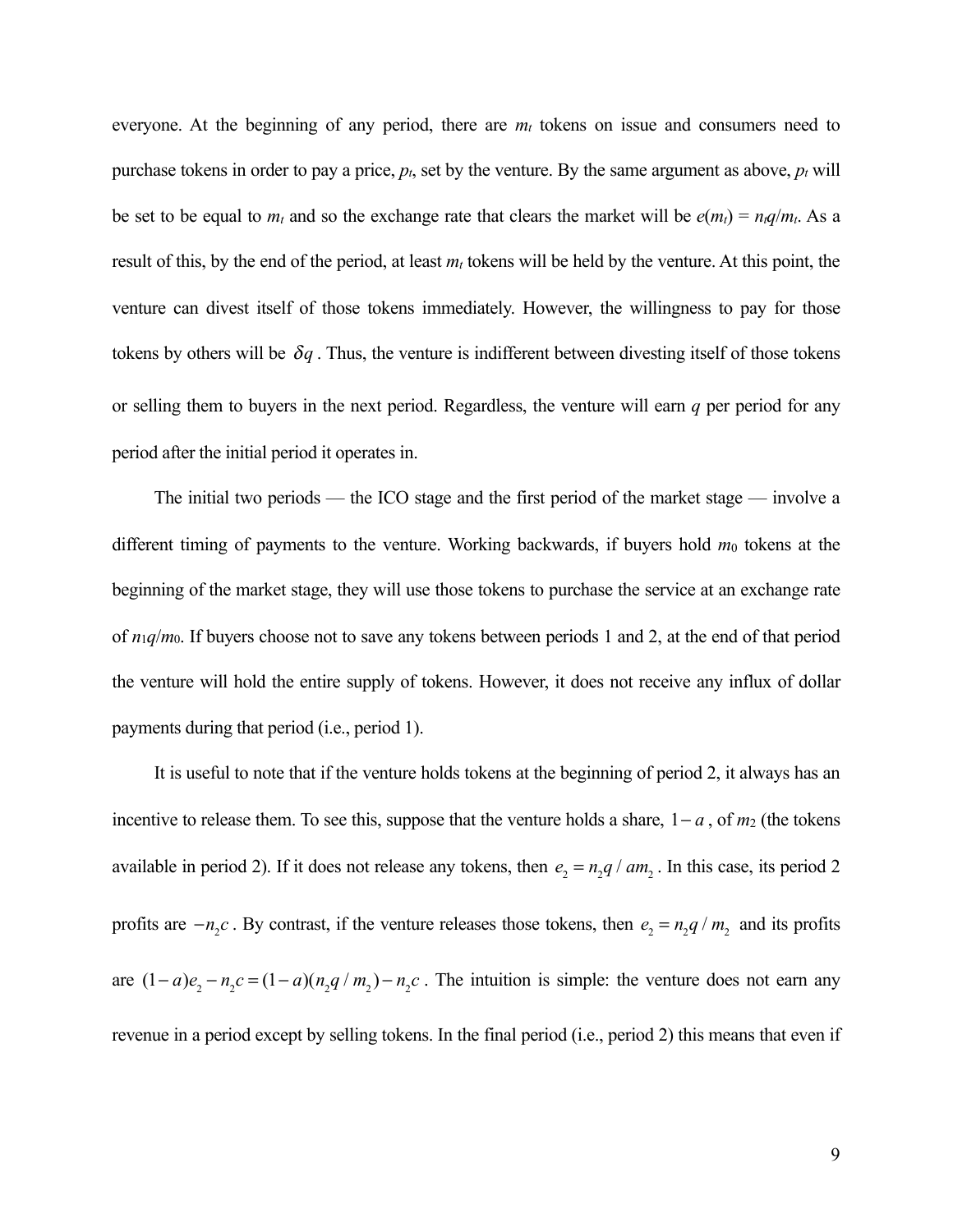everyone. At the beginning of any period, there are  $m_t$  tokens on issue and consumers need to purchase tokens in order to pay a price,  $p_t$ , set by the venture. By the same argument as above,  $p_t$  will be set to be equal to  $m_t$  and so the exchange rate that clears the market will be  $e(m_t) = n_t q/m_t$ . As a result of this, by the end of the period, at least  $m_t$  tokens will be held by the venture. At this point, the venture can divest itself of those tokens immediately. However, the willingness to pay for those tokens by others will be  $\delta q$ . Thus, the venture is indifferent between divesting itself of those tokens or selling them to buyers in the next period. Regardless, the venture will earn *q* per period for any period after the initial period it operates in.

The initial two periods — the ICO stage and the first period of the market stage — involve a different timing of payments to the venture. Working backwards, if buyers hold  $m_0$  tokens at the beginning of the market stage, they will use those tokens to purchase the service at an exchange rate of *n*1*q*/*m*0. If buyers choose not to save any tokens between periods 1 and 2, at the end of that period the venture will hold the entire supply of tokens. However, it does not receive any influx of dollar payments during that period (i.e., period 1).

It is useful to note that if the venture holds tokens at the beginning of period 2, it always has an incentive to release them. To see this, suppose that the venture holds a share,  $1 - a$ , of  $m_2$  (the tokens available in period 2). If it does not release any tokens, then  $e_2 = n_2 q / am_2$ . In this case, its period 2 profits are  $-n_2c$ . By contrast, if the venture releases those tokens, then  $e_2 = n_2q/m_2$  and its profits are  $(1-a)e_2 - n_2c = (1-a)(n_2q/m_2) - n_2c$ . The intuition is simple: the venture does not earn any revenue in a period except by selling tokens. In the final period (i.e., period 2) this means that even if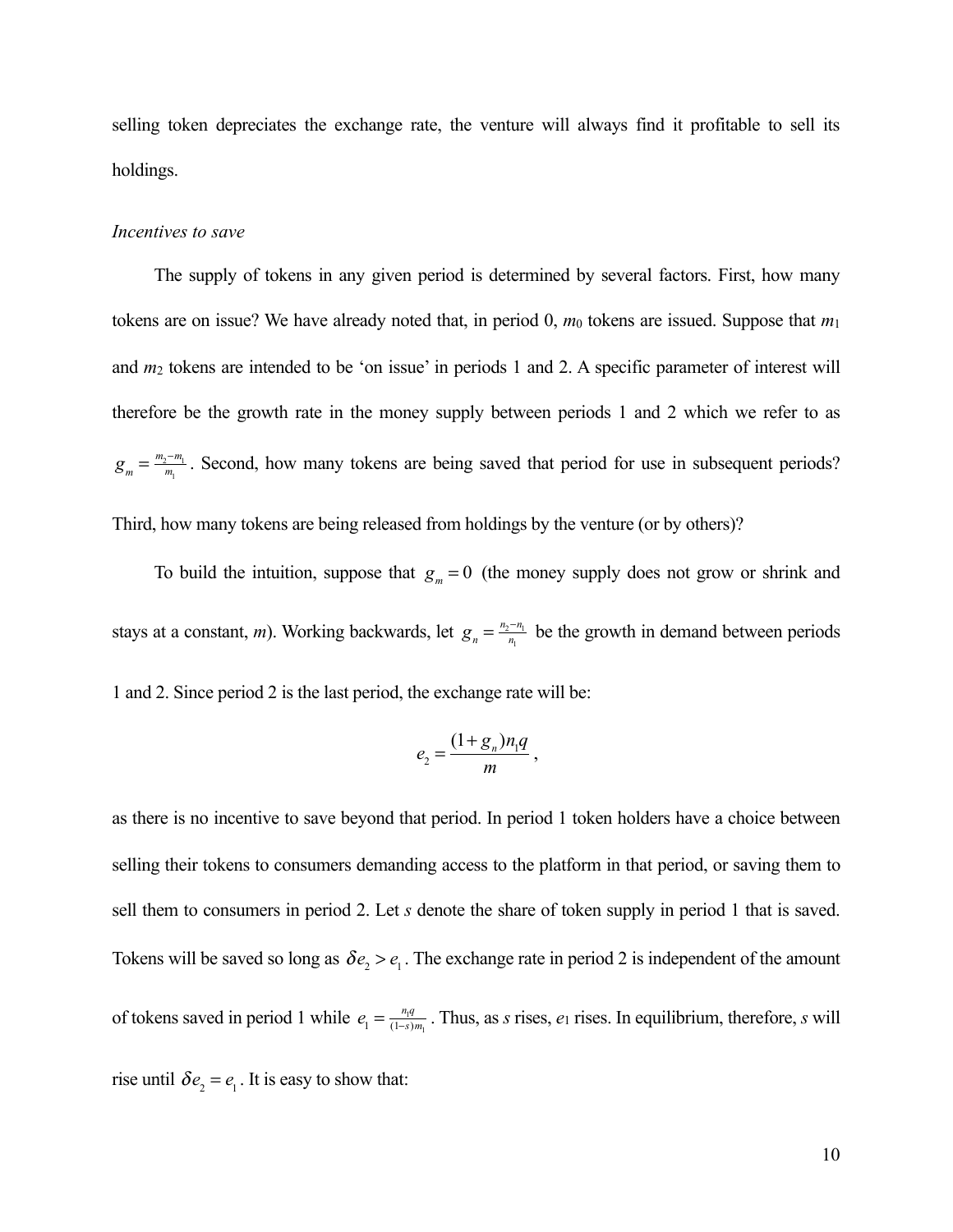selling token depreciates the exchange rate, the venture will always find it profitable to sell its holdings.

#### *Incentives to save*

The supply of tokens in any given period is determined by several factors. First, how many tokens are on issue? We have already noted that, in period 0, *m*0 tokens are issued. Suppose that *m*<sup>1</sup> and *m*2 tokens are intended to be 'on issue' in periods 1 and 2. A specific parameter of interest will therefore be the growth rate in the money supply between periods 1 and 2 which we refer to as  $g_m = \frac{m_2 - m_1}{m_1}$ . Second, how many tokens are being saved that period for use in subsequent periods? Third, how many tokens are being released from holdings by the venture (or by others)?

To build the intuition, suppose that  $g_m = 0$  (the money supply does not grow or shrink and stays at a constant, *m*). Working backwards, let  $g_n = \frac{n_2 - n_1}{n_1}$  be the growth in demand between periods 1 and 2. Since period 2 is the last period, the exchange rate will be:

$$
e_{2}=\frac{(1+g_{n})n_{1}q}{m}\,,
$$

as there is no incentive to save beyond that period. In period 1 token holders have a choice between selling their tokens to consumers demanding access to the platform in that period, or saving them to sell them to consumers in period 2. Let *s* denote the share of token supply in period 1 that is saved. Tokens will be saved so long as  $\delta e_2 > e_1$ . The exchange rate in period 2 is independent of the amount of tokens saved in period 1 while  $e_1 = \frac{n_i q}{(1-s)m_i}$ . Thus, as *s* rises,  $e_1$  rises. In equilibrium, therefore, *s* will rise until  $\delta e_2 = e_1$ . It is easy to show that: (1−*s*)*m*<sup>1</sup>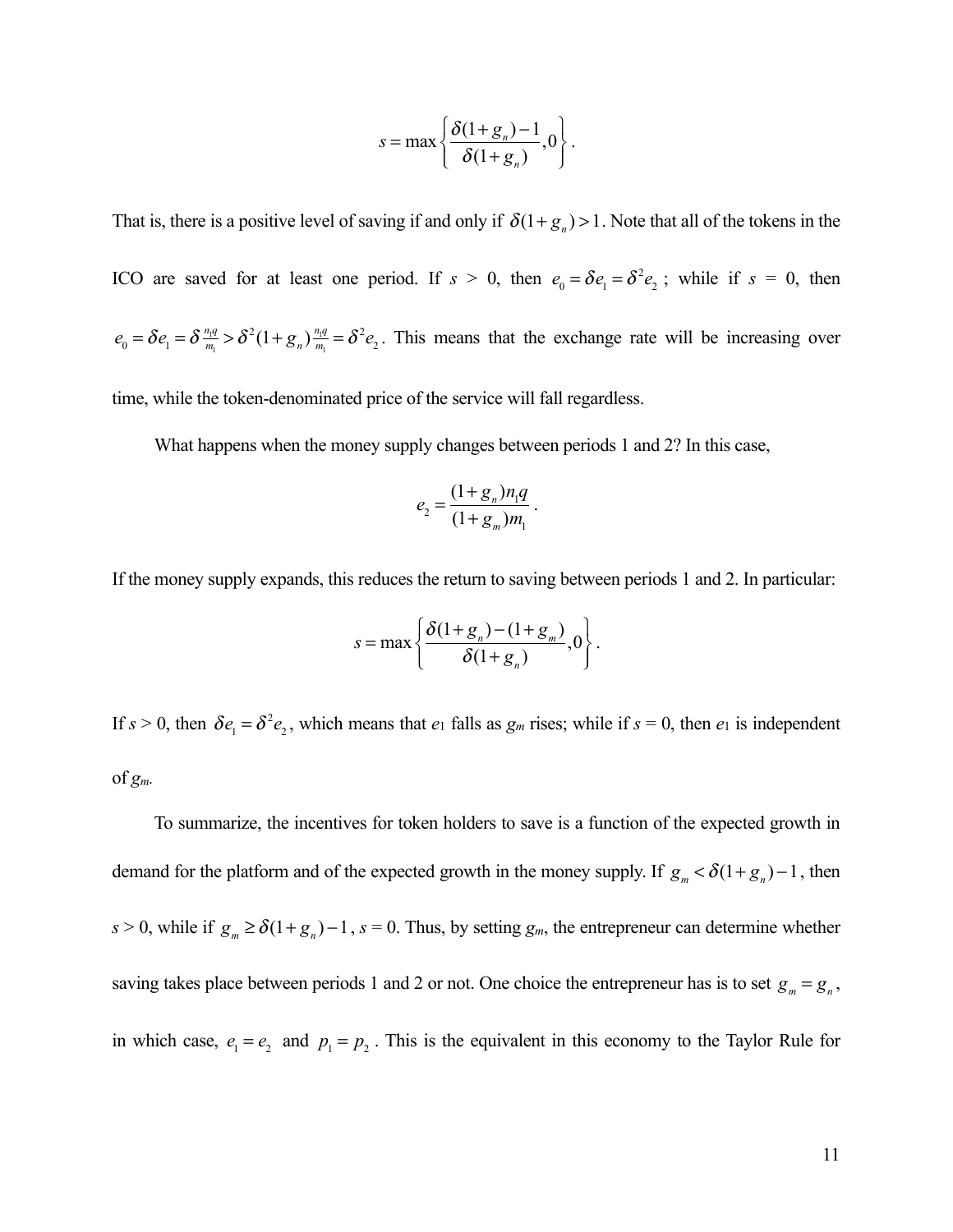$$
s = \max \left\{ \frac{\delta(1+g_n)-1}{\delta(1+g_n)}, 0 \right\}.
$$

That is, there is a positive level of saving if and only if  $\delta(1+g_n) > 1$ . Note that all of the tokens in the ICO are saved for at least one period. If  $s > 0$ , then  $e_0 = \delta e_1 = \delta^2 e_2$ ; while if  $s = 0$ , then  $e_0 = \delta e_1 = \delta \frac{n_i q}{m_i} > \delta^2 (1 + g_n) \frac{n_i q}{m_i} = \delta^2 e_2$ . This means that the exchange rate will be increasing over  $\delta^2(1+g_n)\frac{n_1q}{m_1}$  $\frac{n_1q}{m_1} = \delta^2 e_2$ 

time, while the token-denominated price of the service will fall regardless.

What happens when the money supply changes between periods 1 and 2? In this case,

$$
e_2 = \frac{(1+g_n)n_1q}{(1+g_m)m_1}.
$$

If the money supply expands, this reduces the return to saving between periods 1 and 2. In particular:

$$
s = \max \left\{ \frac{\delta(1+g_n) - (1+g_m)}{\delta(1+g_n)}, 0 \right\}.
$$

If  $s > 0$ , then  $\delta e_1 = \delta^2 e_2$ , which means that  $e_1$  falls as  $g_m$  rises; while if  $s = 0$ , then  $e_1$  is independent of *gm.*

To summarize, the incentives for token holders to save is a function of the expected growth in demand for the platform and of the expected growth in the money supply. If  $g_m < \delta(1+g_n) - 1$ , then  $s > 0$ , while if  $g_m \ge \delta(1+g_n) - 1$ ,  $s = 0$ . Thus, by setting  $g_m$ , the entrepreneur can determine whether saving takes place between periods 1 and 2 or not. One choice the entrepreneur has is to set  $g_m = g_n$ , in which case,  $e_1 = e_2$  and  $p_1 = p_2$ . This is the equivalent in this economy to the Taylor Rule for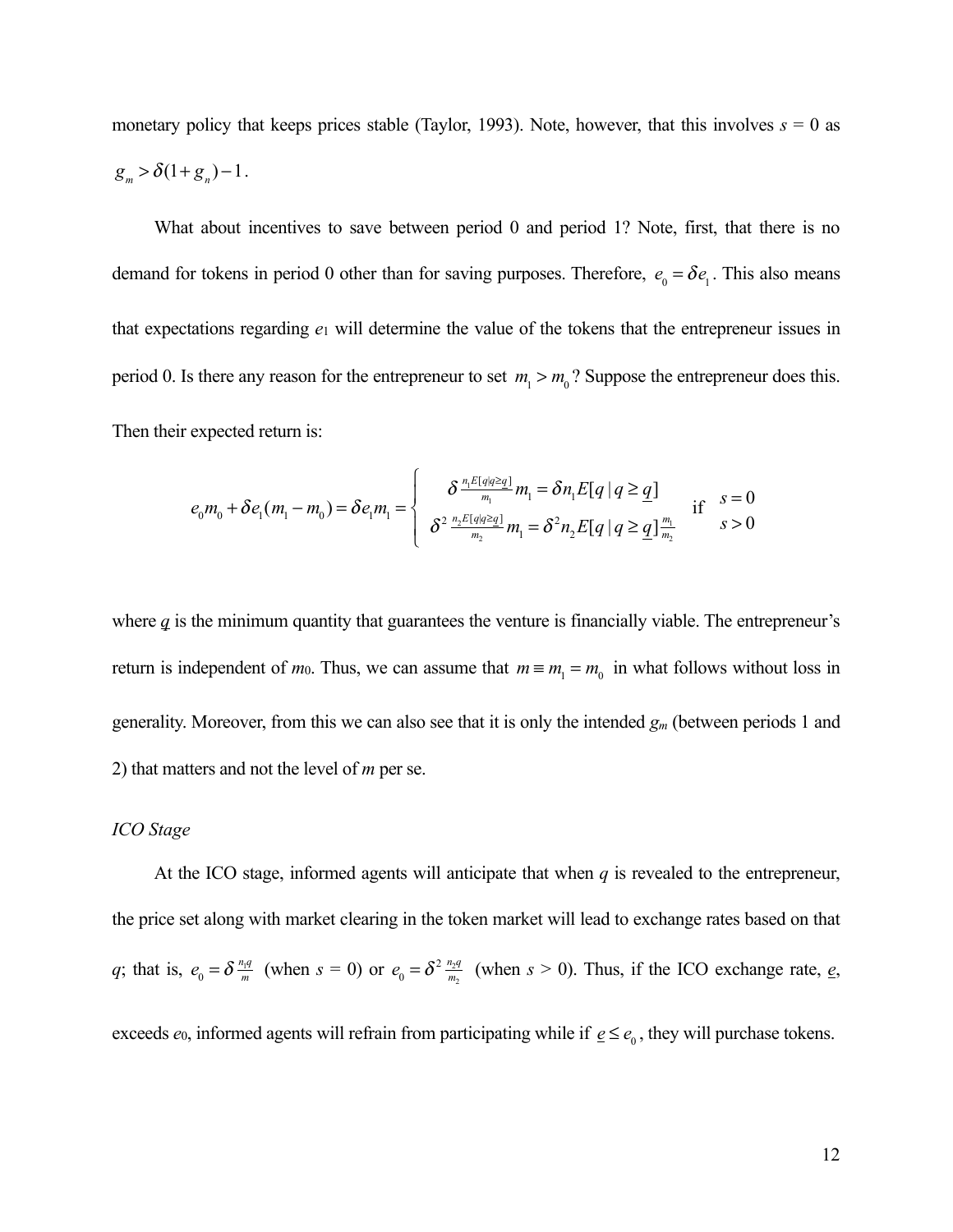monetary policy that keeps prices stable (Taylor, 1993). Note, however, that this involves  $s = 0$  as  $g_m > \delta(1+g_n) - 1$ .

What about incentives to save between period 0 and period 1? Note, first, that there is no demand for tokens in period 0 other than for saving purposes. Therefore,  $e_0 = \delta e_1$ . This also means that expectations regarding *e*1 will determine the value of the tokens that the entrepreneur issues in period 0. Is there any reason for the entrepreneur to set  $m_1 > m_0$ ? Suppose the entrepreneur does this. Then their expected return is:

$$
e_0 m_0 + \delta e_1 (m_1 - m_0) = \delta e_1 m_1 = \begin{cases} \delta^{\frac{n_1 E[q|q \geq q]}{m_1}} m_1 = \delta n_1 E[q | q \geq q] \\ \delta^2 \frac{n_2 E[q|q \geq q]}{m_2} m_1 = \delta^2 n_2 E[q | q \geq q] \frac{m_1}{m_2} & \text{if } s > 0 \end{cases}
$$

where  $q$  is the minimum quantity that guarantees the venture is financially viable. The entrepreneur's return is independent of *m*<sub>0</sub>. Thus, we can assume that  $m \equiv m_1 = m_0$  in what follows without loss in generality. Moreover, from this we can also see that it is only the intended *gm* (between periods 1 and 2) that matters and not the level of *m* per se.

#### *ICO Stage*

At the ICO stage, informed agents will anticipate that when *q* is revealed to the entrepreneur, the price set along with market clearing in the token market will lead to exchange rates based on that *q*; that is,  $e_0 = \delta \frac{n q}{m}$  (when  $s = 0$ ) or  $e_0 = \delta^2 \frac{n q}{m_2}$  (when  $s > 0$ ). Thus, if the ICO exchange rate,  $e_0$ ,

exceeds  $e_0$ , informed agents will refrain from participating while if  $\underline{e} \leq e_0$ , they will purchase tokens.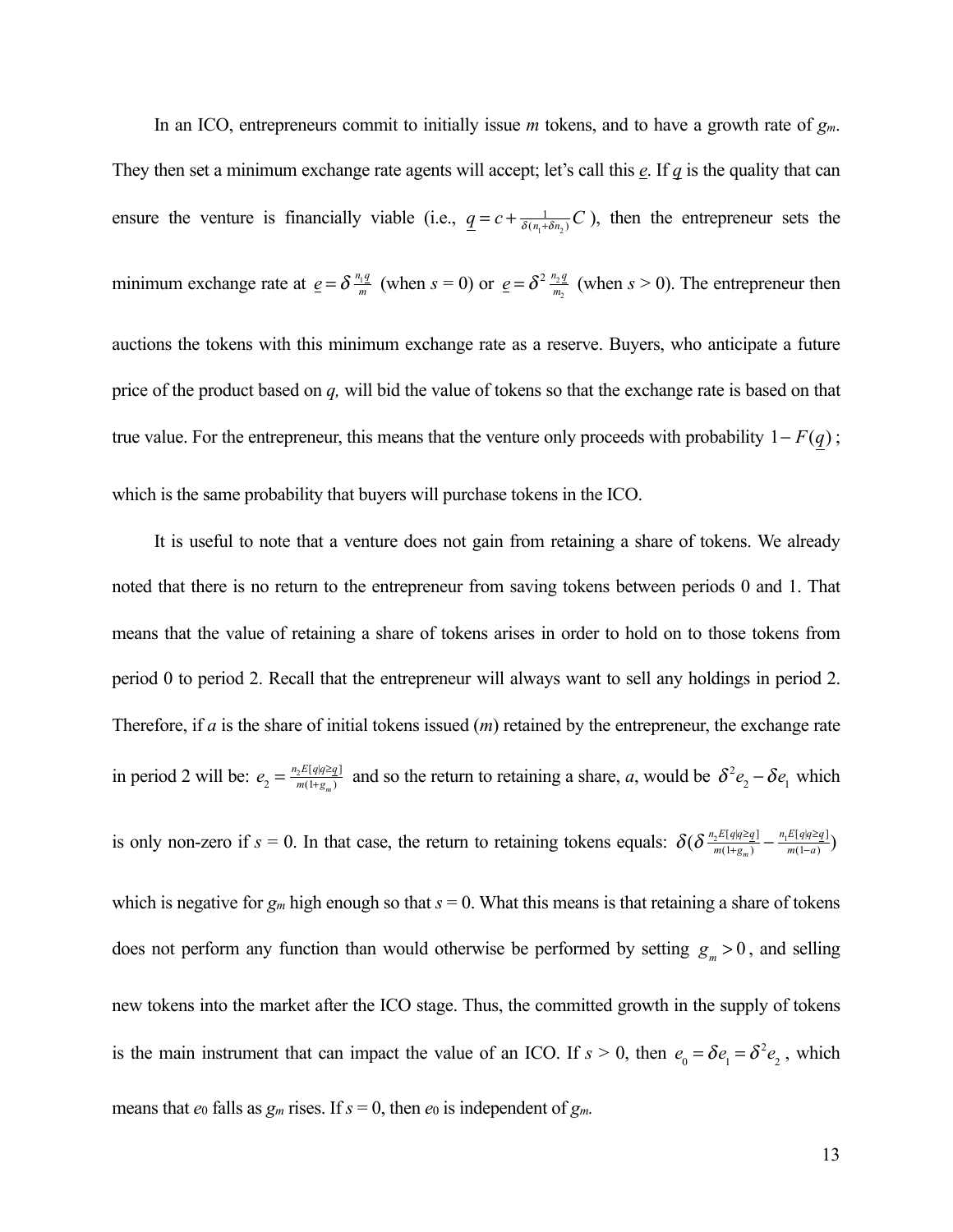In an ICO, entrepreneurs commit to initially issue *m* tokens, and to have a growth rate of *gm*. They then set a minimum exchange rate agents will accept; let's call this *e*. If *q* is the quality that can ensure the venture is financially viable (i.e.,  $q = c + \frac{1}{\delta(n_1 + \delta n_2)}C$ ), then the entrepreneur sets the minimum exchange rate at  $\underline{e} = \delta \frac{n_1 q}{m}$  (when  $s = 0$ ) or  $\underline{e} = \delta^2 \frac{n_2 q}{m_2}$  (when  $s > 0$ ). The entrepreneur then auctions the tokens with this minimum exchange rate as a reserve. Buyers, who anticipate a future price of the product based on *q,* will bid the value of tokens so that the exchange rate is based on that true value. For the entrepreneur, this means that the venture only proceeds with probability  $1-F(q)$ ; which is the same probability that buyers will purchase tokens in the ICO.

It is useful to note that a venture does not gain from retaining a share of tokens. We already noted that there is no return to the entrepreneur from saving tokens between periods 0 and 1. That means that the value of retaining a share of tokens arises in order to hold on to those tokens from period 0 to period 2. Recall that the entrepreneur will always want to sell any holdings in period 2. Therefore, if *a* is the share of initial tokens issued (*m*) retained by the entrepreneur, the exchange rate in period 2 will be:  $e_2 = \frac{n_2 E[q|q \geq q]}{m(1+g_m)}$  and so the return to retaining a share, *a*, would be  $\delta^2 e_2 - \delta e_1$  which is only non-zero if  $s = 0$ . In that case, the return to retaining tokens equals:  $\delta(\delta \frac{n_2 E[q|q \geq q]}{m(1+g_m)} - \frac{n_1 E[q|q \geq q]}{m(1-q)} )$ which is negative for  $g_m$  high enough so that  $s = 0$ . What this means is that retaining a share of tokens does not perform any function than would otherwise be performed by setting  $g_m > 0$ , and selling new tokens into the market after the ICO stage. Thus, the committed growth in the supply of tokens is the main instrument that can impact the value of an ICO. If  $s > 0$ , then  $e_0 = \delta e_1 = \delta^2 e_2$ , which means that  $e_0$  falls as  $g_m$  rises. If  $s = 0$ , then  $e_0$  is independent of  $g_m$ .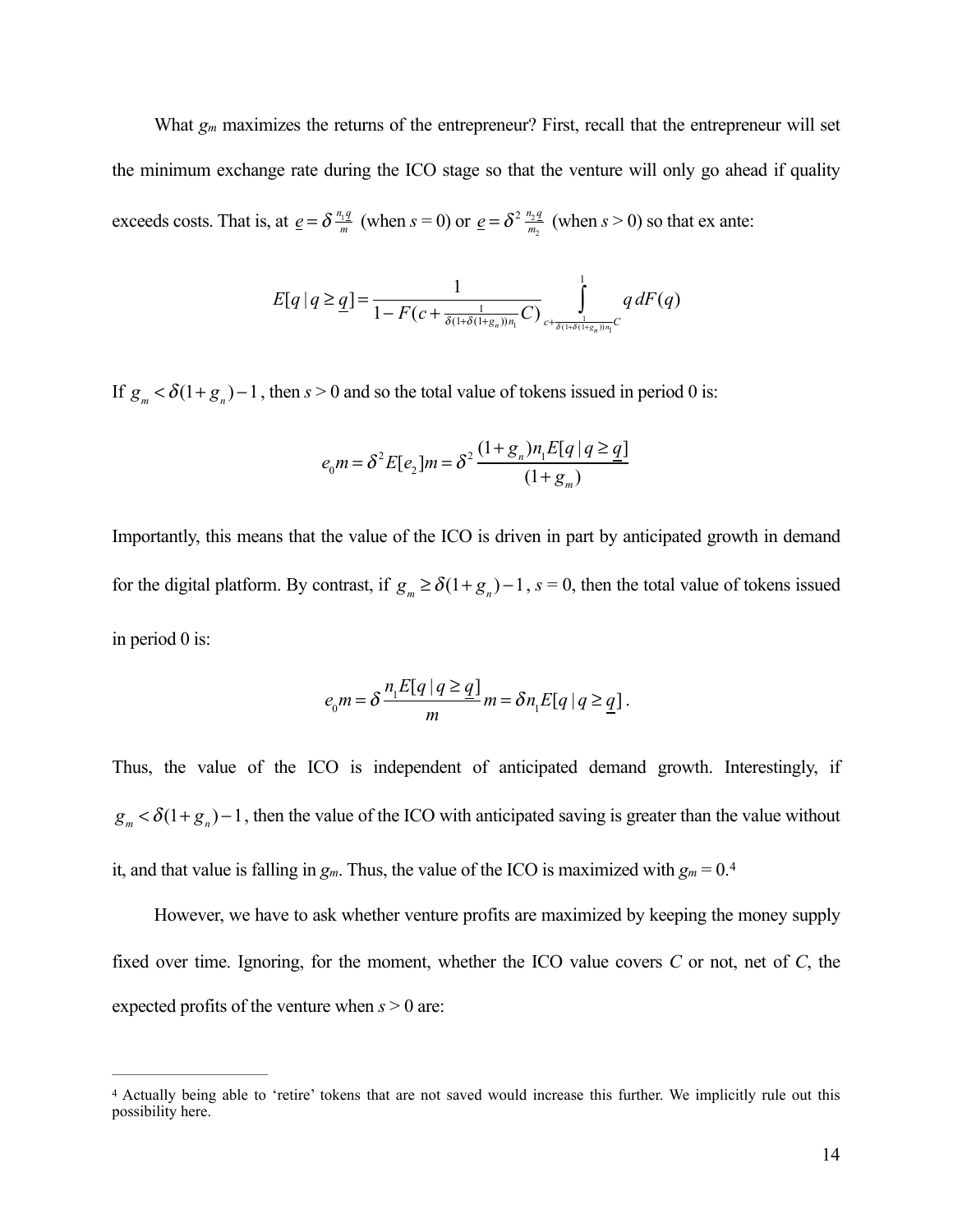What  $g_m$  maximizes the returns of the entrepreneur? First, recall that the entrepreneur will set the minimum exchange rate during the ICO stage so that the venture will only go ahead if quality exceeds costs. That is, at  $\underline{e} = \delta \frac{n_1 q}{m}$  (when  $s = 0$ ) or  $\underline{e} = \delta^2 \frac{n_2 q}{m_2}$  (when  $s > 0$ ) so that ex ante:

$$
E[q \mid q \geq q] = \frac{1}{1 - F(c + \frac{1}{\delta(1 + \delta(1 + g_n))n_1}C)} \int_{c + \frac{1}{\delta(1 + \delta(1 + g_n))n_1}C} q \, dF(q)
$$

If  $g_m < \delta(1+g_n) - 1$ , then  $s > 0$  and so the total value of tokens issued in period 0 is:

$$
e_0 m = \delta^2 E[e_2] m = \delta^2 \frac{(1 + g_n) n_1 E[q | q \ge q]}{(1 + g_m)}
$$

Importantly, this means that the value of the ICO is driven in part by anticipated growth in demand for the digital platform. By contrast, if  $g_m \ge \delta(1+g_n) - 1$ ,  $s = 0$ , then the total value of tokens issued in period 0 is:

<span id="page-15-1"></span>
$$
e_0 m = \delta \frac{n_1 E[q | q \ge q]}{m} m = \delta n_1 E[q | q \ge q].
$$

Thus, the value of the ICO is independent of anticipated demand growth. Interestingly, if  $g_m < \delta(1+g_n) - 1$ , then the value of the ICO with anticipated saving is greater than the value without it, and that value is falling in  $g_m$ . Thus, the value of the ICO is maximized with  $g_m = 0.4$ 

However, we have to ask whether venture profits are maximized by keeping the money supply fixed over time. Ignoring, for the moment, whether the ICO value covers *C* or not, net of *C*, the expected profits of the venture when *s* > 0 are:

<span id="page-15-0"></span><sup>&</sup>lt;sup>[4](#page-15-1)</sup> Actually being able to 'retire' tokens that are not saved would increase this further. We implicitly rule out this possibility here.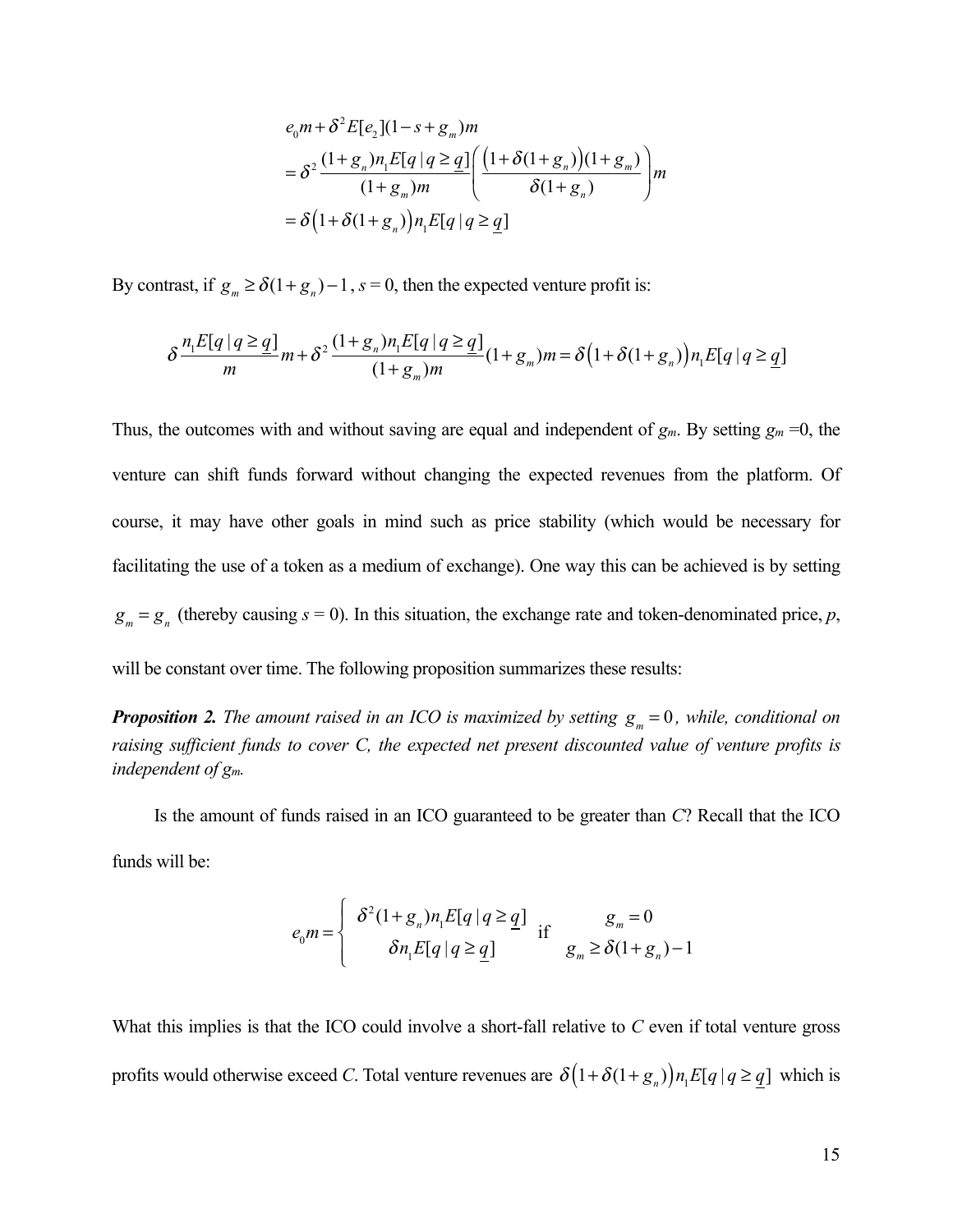$$
e_0 m + \delta^2 E[e_2](1 - s + g_m)m
$$
  
= 
$$
\delta^2 \frac{(1 + g_n)n_1 E[q | q \ge q]}{(1 + g_m)m} \left( \frac{(1 + \delta(1 + g_n))(1 + g_m)}{\delta(1 + g_n)} \right) m
$$
  
= 
$$
\delta \left( 1 + \delta(1 + g_n) \right) n_1 E[q | q \ge q]
$$

By contrast, if  $g_m \ge \delta(1+g_n) - 1$ ,  $s = 0$ , then the expected venture profit is:

$$
\delta \frac{n_1 E[q | q \geq q]}{m} m + \delta^2 \frac{(1+g_n)n_1 E[q | q \geq q]}{(1+g_m)m} (1+g_m)m = \delta \left(1 + \delta(1+g_n)\right) n_1 E[q | q \geq q]
$$

Thus, the outcomes with and without saving are equal and independent of  $g_m$ . By setting  $g_m = 0$ , the venture can shift funds forward without changing the expected revenues from the platform. Of course, it may have other goals in mind such as price stability (which would be necessary for facilitating the use of a token as a medium of exchange). One way this can be achieved is by setting  $g_m = g_n$  (thereby causing  $s = 0$ ). In this situation, the exchange rate and token-denominated price, *p*,

will be constant over time. The following proposition summarizes these results:

**Proposition 2.** The amount raised in an ICO is maximized by setting  $g_m = 0$ , while, conditional on *raising sufficient funds to cover C, the expected net present discounted value of venture profits is independent of gm.* 

Is the amount of funds raised in an ICO guaranteed to be greater than *C*? Recall that the ICO funds will be:

$$
e_0 m = \begin{cases} \delta^2 (1 + g_n) n_1 E[q | q \geq q] & \text{if } g_m = 0\\ \delta n_1 E[q | q \geq q] & g_m \geq \delta (1 + g_n) - 1 \end{cases}
$$

What this implies is that the ICO could involve a short-fall relative to *C* even if total venture gross profits would otherwise exceed *C*. Total venture revenues are  $\delta(1+\delta(1+g_n))n_1E[q|q \geq \underline{q}]$  which is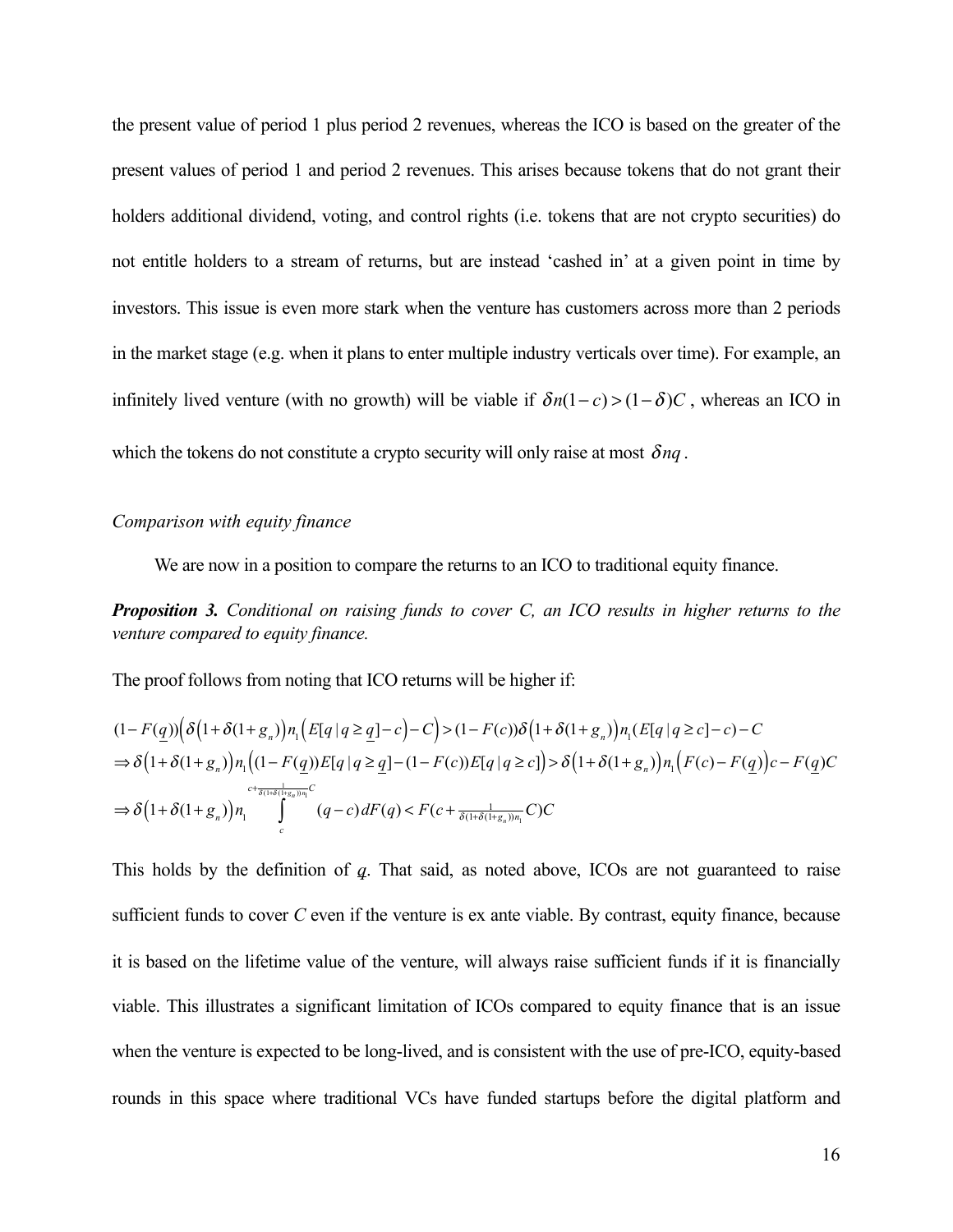the present value of period 1 plus period 2 revenues, whereas the ICO is based on the greater of the present values of period 1 and period 2 revenues. This arises because tokens that do not grant their holders additional dividend, voting, and control rights (i.e. tokens that are not crypto securities) do not entitle holders to a stream of returns, but are instead 'cashed in' at a given point in time by investors. This issue is even more stark when the venture has customers across more than 2 periods in the market stage (e.g. when it plans to enter multiple industry verticals over time). For example, an infinitely lived venture (with no growth) will be viable if  $\delta n(1-c) > (1-\delta)C$ , whereas an ICO in which the tokens do not constitute a crypto security will only raise at most  $\delta nq$ .

#### *Comparison with equity finance*

We are now in a position to compare the returns to an ICO to traditional equity finance.

### *Proposition 3. Conditional on raising funds to cover C, an ICO results in higher returns to the venture compared to equity finance.*

The proof follows from noting that ICO returns will be higher if:

$$
(1 - F(q))\left(\delta\left(1 + \delta(1 + g_n)\right)n_1\left(E[q|q \geq q] - c\right) - C\right) > (1 - F(c))\delta\left(1 + \delta(1 + g_n)\right)n_1(E[q|q \geq c] - c) - C
$$
\n
$$
\Rightarrow \delta\left(1 + \delta(1 + g_n)\right)n_1\left((1 - F(q))E[q|q \geq q] - (1 - F(c))E[q|q \geq c]\right) > \delta\left(1 + \delta(1 + g_n)\right)n_1\left(F(c) - F(q)\right)c - F(q)\right) \subset \delta\left(1 + \delta(1 + g_n)\right)n_1\int_{c}^{c + \frac{1}{\delta(1 + \delta(1 + g_n))n_1}C} (q - c) dF(q) < F(c + \frac{1}{\delta(1 + \delta(1 + g_n))n_1}C)C
$$

This holds by the definition of *q*. That said, as noted above, ICOs are not guaranteed to raise sufficient funds to cover *C* even if the venture is ex ante viable. By contrast, equity finance, because it is based on the lifetime value of the venture, will always raise sufficient funds if it is financially viable. This illustrates a significant limitation of ICOs compared to equity finance that is an issue when the venture is expected to be long-lived, and is consistent with the use of pre-ICO, equity-based rounds in this space where traditional VCs have funded startups before the digital platform and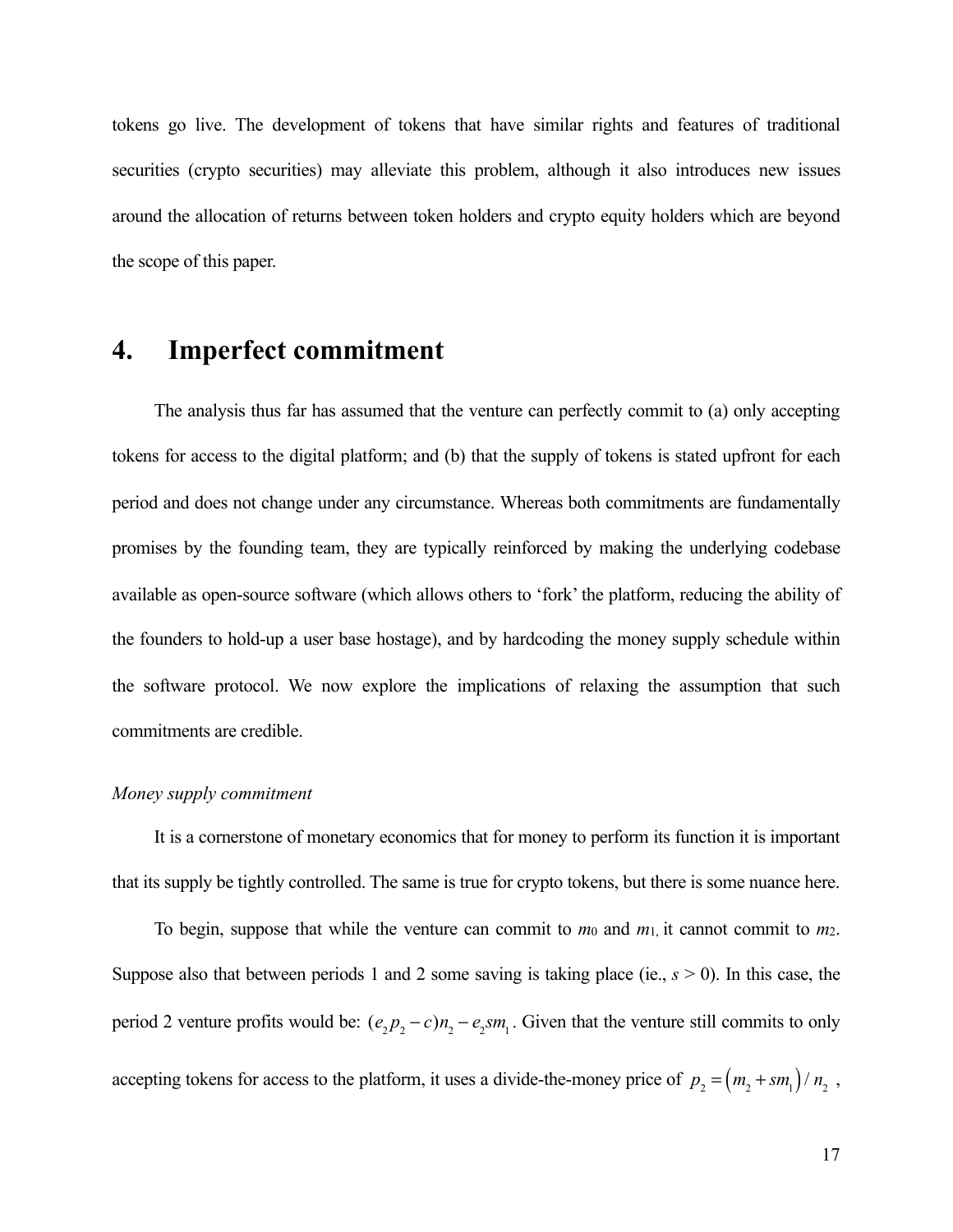tokens go live. The development of tokens that have similar rights and features of traditional securities (crypto securities) may alleviate this problem, although it also introduces new issues around the allocation of returns between token holders and crypto equity holders which are beyond the scope of this paper.

### **4. Imperfect commitment**

The analysis thus far has assumed that the venture can perfectly commit to (a) only accepting tokens for access to the digital platform; and (b) that the supply of tokens is stated upfront for each period and does not change under any circumstance. Whereas both commitments are fundamentally promises by the founding team, they are typically reinforced by making the underlying codebase available as open-source software (which allows others to 'fork' the platform, reducing the ability of the founders to hold-up a user base hostage), and by hardcoding the money supply schedule within the software protocol. We now explore the implications of relaxing the assumption that such commitments are credible.

#### *Money supply commitment*

It is a cornerstone of monetary economics that for money to perform its function it is important that its supply be tightly controlled. The same is true for crypto tokens, but there is some nuance here.

To begin, suppose that while the venture can commit to  $m_0$  and  $m_1$ , it cannot commit to  $m_2$ . Suppose also that between periods 1 and 2 some saving is taking place (ie., *s* > 0). In this case, the period 2 venture profits would be:  $(e_2p_2 - c)n_2 - e_2sm_1$ . Given that the venture still commits to only accepting tokens for access to the platform, it uses a divide-the-money price of  $p_2 = (m_2 + sm_1)/n_2$ ,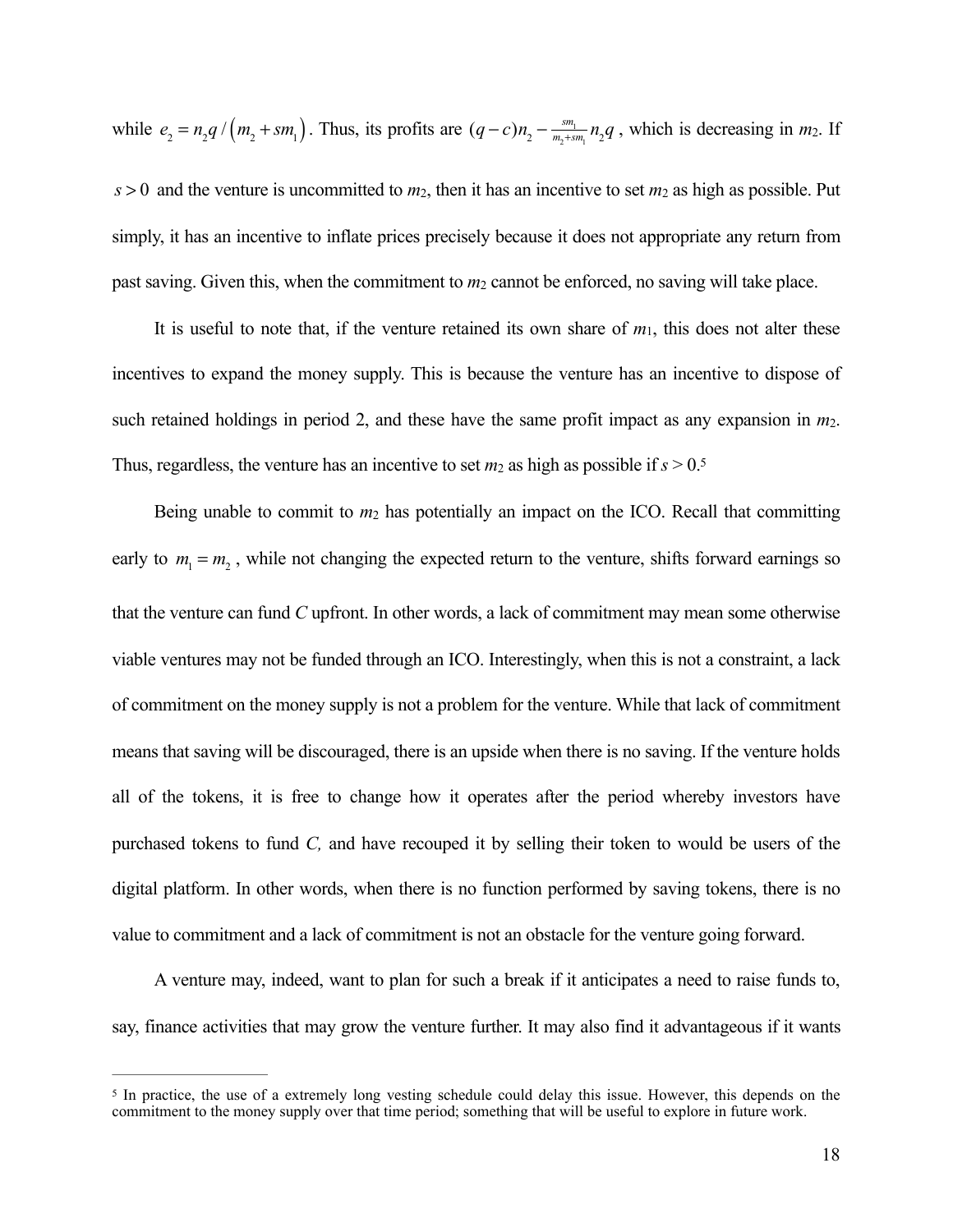while  $e_2 = n_2 q / (m_2 + sm_1)$ . Thus, its profits are  $(q-c)n_2 - \frac{sm_1}{m_2+sm_1}n_2q$ , which is decreasing in  $m_2$ . If

 $s > 0$  and the venture is uncommitted to  $m_2$ , then it has an incentive to set  $m_2$  as high as possible. Put simply, it has an incentive to inflate prices precisely because it does not appropriate any return from past saving. Given this, when the commitment to  $m_2$  cannot be enforced, no saving will take place.

It is useful to note that, if the venture retained its own share of  $m_1$ , this does not alter these incentives to expand the money supply. This is because the venture has an incentive to dispose of such retained holdings in period 2, and these have the same profit impact as any expansion in *m*2. Thus, regardless, the venture has an incentive to set  $m_2$  as high as possible if  $s > 0.5$  $s > 0.5$ 

<span id="page-19-1"></span>Being unable to commit to *m*2 has potentially an impact on the ICO. Recall that committing early to  $m_1 = m_2$ , while not changing the expected return to the venture, shifts forward earnings so that the venture can fund *C* upfront. In other words, a lack of commitment may mean some otherwise viable ventures may not be funded through an ICO. Interestingly, when this is not a constraint, a lack of commitment on the money supply is not a problem for the venture. While that lack of commitment means that saving will be discouraged, there is an upside when there is no saving. If the venture holds all of the tokens, it is free to change how it operates after the period whereby investors have purchased tokens to fund *C,* and have recouped it by selling their token to would be users of the digital platform. In other words, when there is no function performed by saving tokens, there is no value to commitment and a lack of commitment is not an obstacle for the venture going forward.

A venture may, indeed, want to plan for such a break if it anticipates a need to raise funds to, say, finance activities that may grow the venture further. It may also find it advantageous if it wants

<span id="page-19-0"></span><sup>&</sup>lt;sup>[5](#page-19-1)</sup> In practice, the use of a extremely long vesting schedule could delay this issue. However, this depends on the commitment to the money supply over that time period; something that will be useful to explore in future work.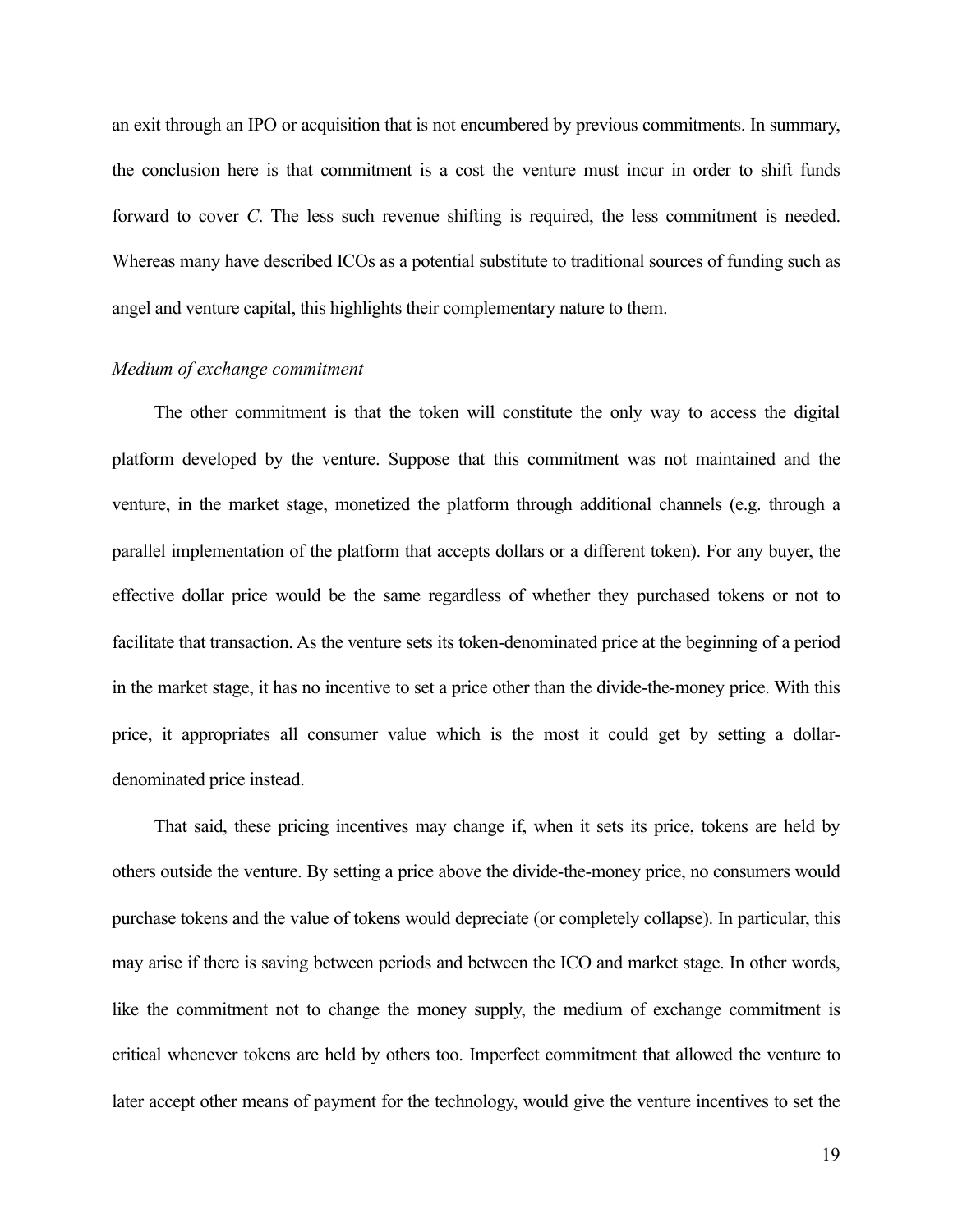an exit through an IPO or acquisition that is not encumbered by previous commitments. In summary, the conclusion here is that commitment is a cost the venture must incur in order to shift funds forward to cover *C*. The less such revenue shifting is required, the less commitment is needed. Whereas many have described ICOs as a potential substitute to traditional sources of funding such as angel and venture capital, this highlights their complementary nature to them.

#### *Medium of exchange commitment*

The other commitment is that the token will constitute the only way to access the digital platform developed by the venture. Suppose that this commitment was not maintained and the venture, in the market stage, monetized the platform through additional channels (e.g. through a parallel implementation of the platform that accepts dollars or a different token). For any buyer, the effective dollar price would be the same regardless of whether they purchased tokens or not to facilitate that transaction. As the venture sets its token-denominated price at the beginning of a period in the market stage, it has no incentive to set a price other than the divide-the-money price. With this price, it appropriates all consumer value which is the most it could get by setting a dollardenominated price instead.

That said, these pricing incentives may change if, when it sets its price, tokens are held by others outside the venture. By setting a price above the divide-the-money price, no consumers would purchase tokens and the value of tokens would depreciate (or completely collapse). In particular, this may arise if there is saving between periods and between the ICO and market stage. In other words, like the commitment not to change the money supply, the medium of exchange commitment is critical whenever tokens are held by others too. Imperfect commitment that allowed the venture to later accept other means of payment for the technology, would give the venture incentives to set the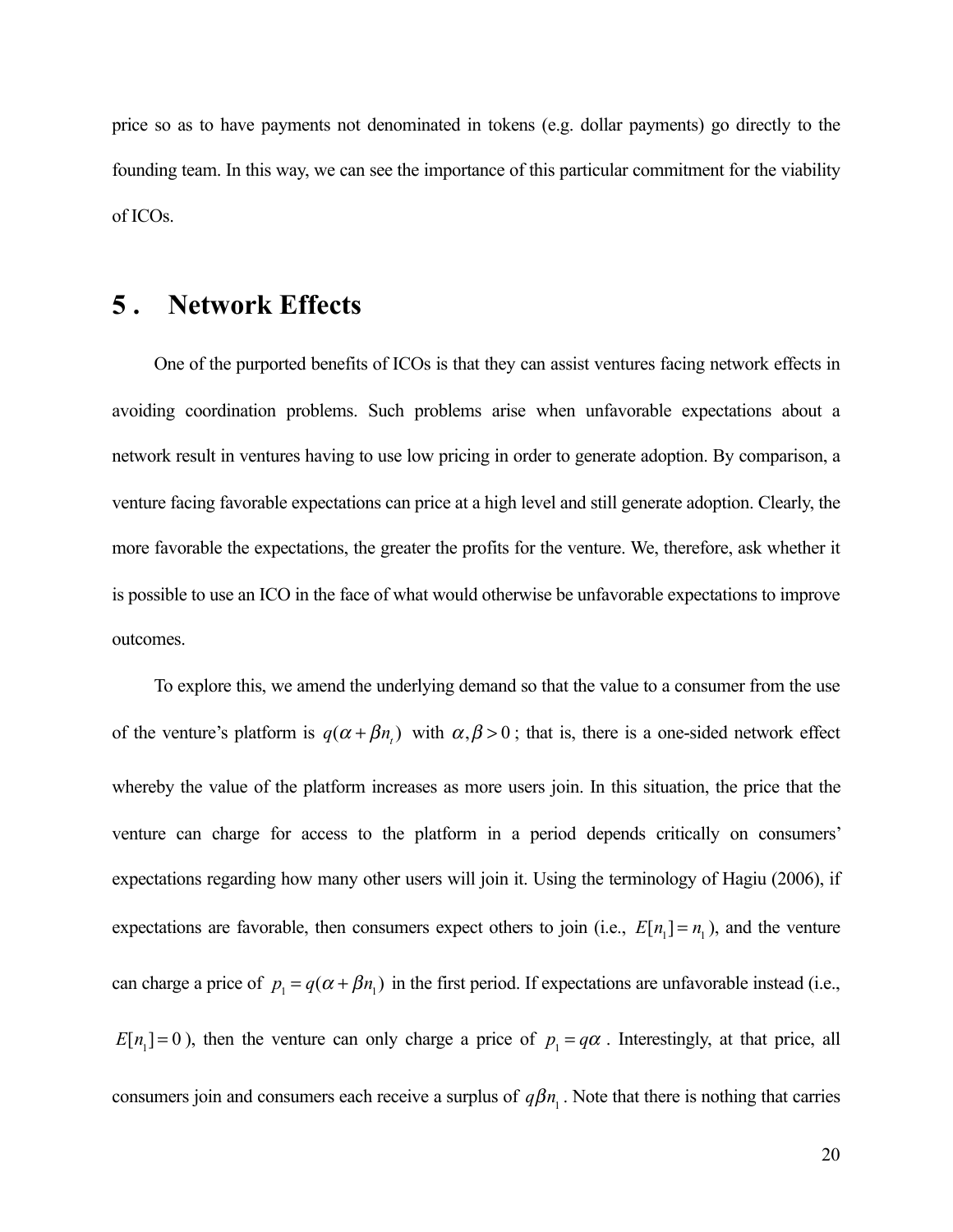price so as to have payments not denominated in tokens (e.g. dollar payments) go directly to the founding team. In this way, we can see the importance of this particular commitment for the viability of ICOs.

## **5 . Network Effects**

One of the purported benefits of ICOs is that they can assist ventures facing network effects in avoiding coordination problems. Such problems arise when unfavorable expectations about a network result in ventures having to use low pricing in order to generate adoption. By comparison, a venture facing favorable expectations can price at a high level and still generate adoption. Clearly, the more favorable the expectations, the greater the profits for the venture. We, therefore, ask whether it is possible to use an ICO in the face of what would otherwise be unfavorable expectations to improve outcomes.

To explore this, we amend the underlying demand so that the value to a consumer from the use of the venture's platform is  $q(\alpha + \beta n)$  with  $\alpha, \beta > 0$ ; that is, there is a one-sided network effect whereby the value of the platform increases as more users join. In this situation, the price that the venture can charge for access to the platform in a period depends critically on consumers' expectations regarding how many other users will join it. Using the terminology of Hagiu (2006), if expectations are favorable, then consumers expect others to join (i.e.,  $E[n_1] = n_1$ ), and the venture can charge a price of  $p_1 = q(\alpha + \beta n_1)$  in the first period. If expectations are unfavorable instead (i.e.,  $E[n_1] = 0$ ), then the venture can only charge a price of  $p_1 = q\alpha$ . Interestingly, at that price, all consumers join and consumers each receive a surplus of  $q\beta n_1$ . Note that there is nothing that carries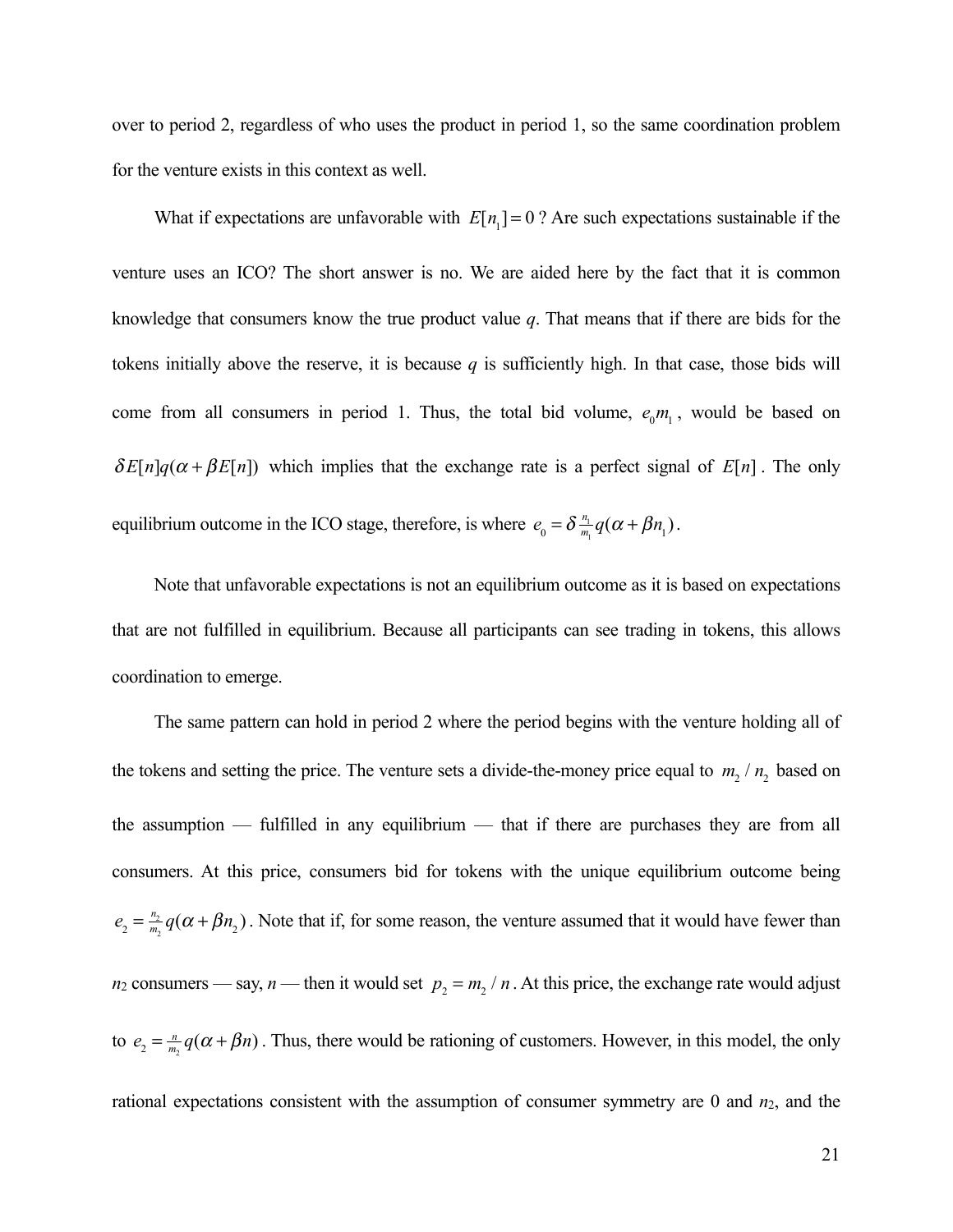over to period 2, regardless of who uses the product in period 1, so the same coordination problem for the venture exists in this context as well.

What if expectations are unfavorable with  $E[n_1] = 0$ ? Are such expectations sustainable if the venture uses an ICO? The short answer is no. We are aided here by the fact that it is common knowledge that consumers know the true product value *q*. That means that if there are bids for the tokens initially above the reserve, it is because  $q$  is sufficiently high. In that case, those bids will come from all consumers in period 1. Thus, the total bid volume,  $e_0 m_1$ , would be based on  $\delta E[n]q(\alpha + \beta E[n])$  which implies that the exchange rate is a perfect signal of  $E[n]$ . The only equilibrium outcome in the ICO stage, therefore, is where  $e_0 = \delta \frac{n_1}{m_1} q(\alpha + \beta n_1)$ .

Note that unfavorable expectations is not an equilibrium outcome as it is based on expectations that are not fulfilled in equilibrium. Because all participants can see trading in tokens, this allows coordination to emerge.

The same pattern can hold in period 2 where the period begins with the venture holding all of the tokens and setting the price. The venture sets a divide-the-money price equal to  $m_2 / n_2$  based on the assumption — fulfilled in any equilibrium — that if there are purchases they are from all consumers. At this price, consumers bid for tokens with the unique equilibrium outcome being  $e_2 = \frac{n_2}{m_2} q(\alpha + \beta n_2)$ . Note that if, for some reason, the venture assumed that it would have fewer than *n*<sub>2</sub> consumers — say, *n* — then it would set  $p_2 = m_2 / n$ . At this price, the exchange rate would adjust to  $e_2 = \frac{n}{m_2} q(\alpha + \beta n)$ . Thus, there would be rationing of customers. However, in this model, the only rational expectations consistent with the assumption of consumer symmetry are 0 and *n*2, and the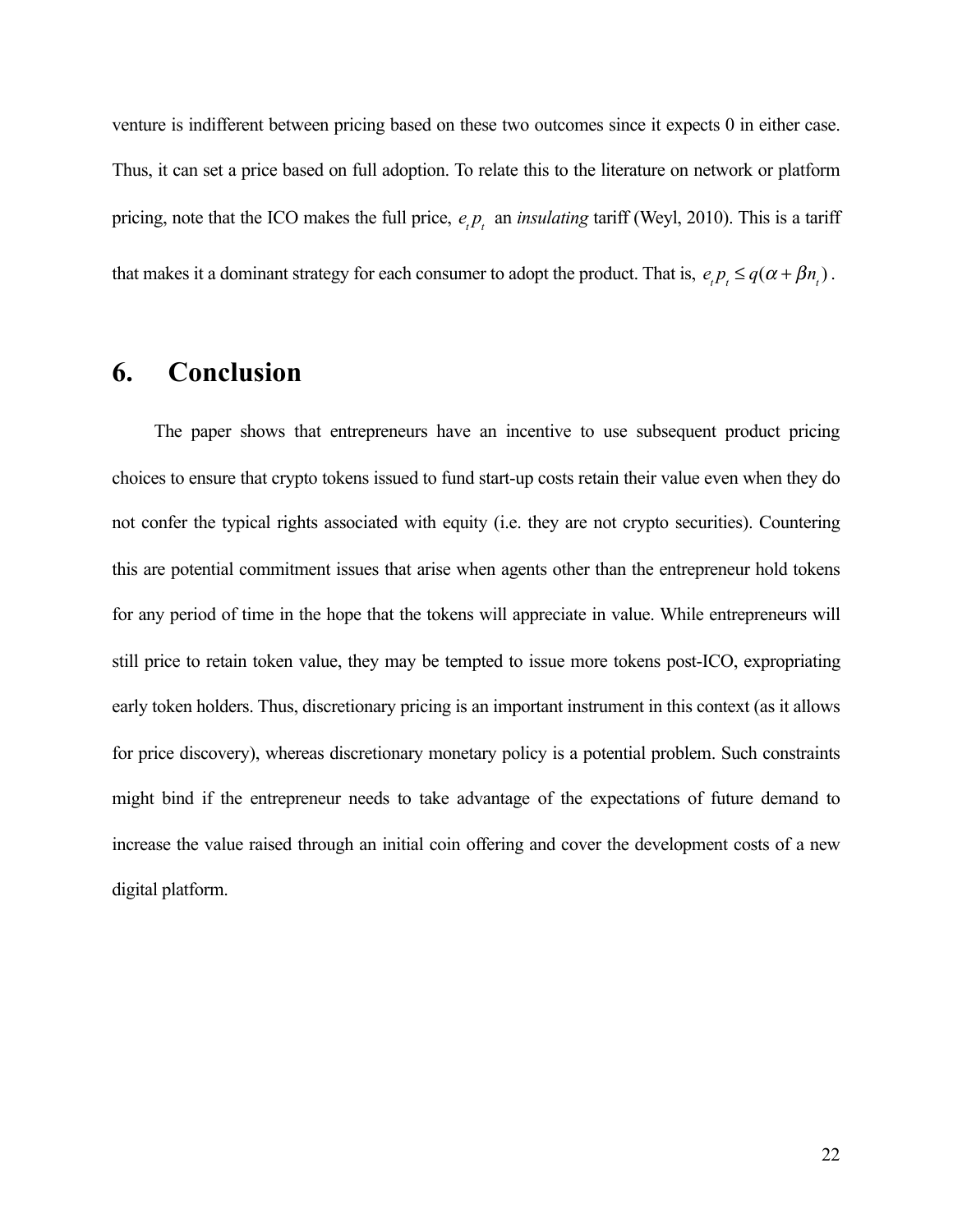venture is indifferent between pricing based on these two outcomes since it expects 0 in either case. Thus, it can set a price based on full adoption. To relate this to the literature on network or platform pricing, note that the ICO makes the full price,  $e_t p_t$  an *insulating* tariff (Weyl, 2010). This is a tariff that makes it a dominant strategy for each consumer to adopt the product. That is,  $e_t p_t \leq q(\alpha + \beta n_t)$ .

# **6. Conclusion**

The paper shows that entrepreneurs have an incentive to use subsequent product pricing choices to ensure that crypto tokens issued to fund start-up costs retain their value even when they do not confer the typical rights associated with equity (i.e. they are not crypto securities). Countering this are potential commitment issues that arise when agents other than the entrepreneur hold tokens for any period of time in the hope that the tokens will appreciate in value. While entrepreneurs will still price to retain token value, they may be tempted to issue more tokens post-ICO, expropriating early token holders. Thus, discretionary pricing is an important instrument in this context (as it allows for price discovery), whereas discretionary monetary policy is a potential problem. Such constraints might bind if the entrepreneur needs to take advantage of the expectations of future demand to increase the value raised through an initial coin offering and cover the development costs of a new digital platform.